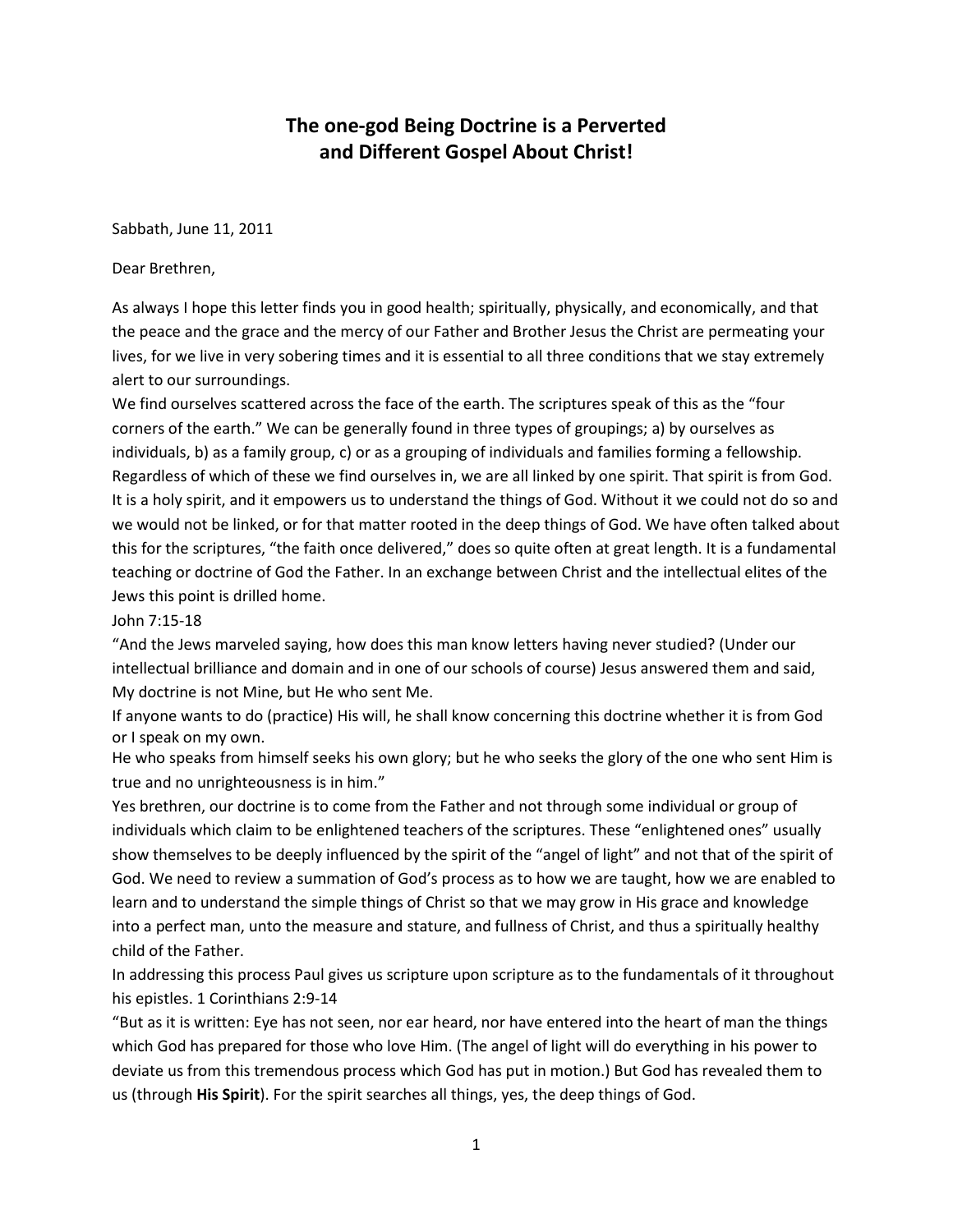# **The one-god Being Doctrine is a Perverted and Different Gospel About Christ!**

Sabbath, June 11, 2011

Dear Brethren,

As always I hope this letter finds you in good health; spiritually, physically, and economically, and that the peace and the grace and the mercy of our Father and Brother Jesus the Christ are permeating your lives, for we live in very sobering times and it is essential to all three conditions that we stay extremely alert to our surroundings.

We find ourselves scattered across the face of the earth. The scriptures speak of this as the "four corners of the earth." We can be generally found in three types of groupings; a) by ourselves as individuals, b) as a family group, c) or as a grouping of individuals and families forming a fellowship. Regardless of which of these we find ourselves in, we are all linked by one spirit. That spirit is from God. It is a holy spirit, and it empowers us to understand the things of God. Without it we could not do so and we would not be linked, or for that matter rooted in the deep things of God. We have often talked about this for the scriptures, "the faith once delivered," does so quite often at great length. It is a fundamental teaching or doctrine of God the Father. In an exchange between Christ and the intellectual elites of the Jews this point is drilled home.

John 7:15-18

"And the Jews marveled saying, how does this man know letters having never studied? (Under our intellectual brilliance and domain and in one of our schools of course) Jesus answered them and said, My doctrine is not Mine, but He who sent Me.

If anyone wants to do (practice) His will, he shall know concerning this doctrine whether it is from God or I speak on my own.

He who speaks from himself seeks his own glory; but he who seeks the glory of the one who sent Him is true and no unrighteousness is in him."

Yes brethren, our doctrine is to come from the Father and not through some individual or group of individuals which claim to be enlightened teachers of the scriptures. These "enlightened ones" usually show themselves to be deeply influenced by the spirit of the "angel of light" and not that of the spirit of God. We need to review a summation of God's process as to how we are taught, how we are enabled to learn and to understand the simple things of Christ so that we may grow in His grace and knowledge into a perfect man, unto the measure and stature, and fullness of Christ, and thus a spiritually healthy child of the Father.

In addressing this process Paul gives us scripture upon scripture as to the fundamentals of it throughout his epistles. 1 Corinthians 2:9-14

"But as it is written: Eye has not seen, nor ear heard, nor have entered into the heart of man the things which God has prepared for those who love Him. (The angel of light will do everything in his power to deviate us from this tremendous process which God has put in motion.) But God has revealed them to us (through **His Spirit**). For the spirit searches all things, yes, the deep things of God.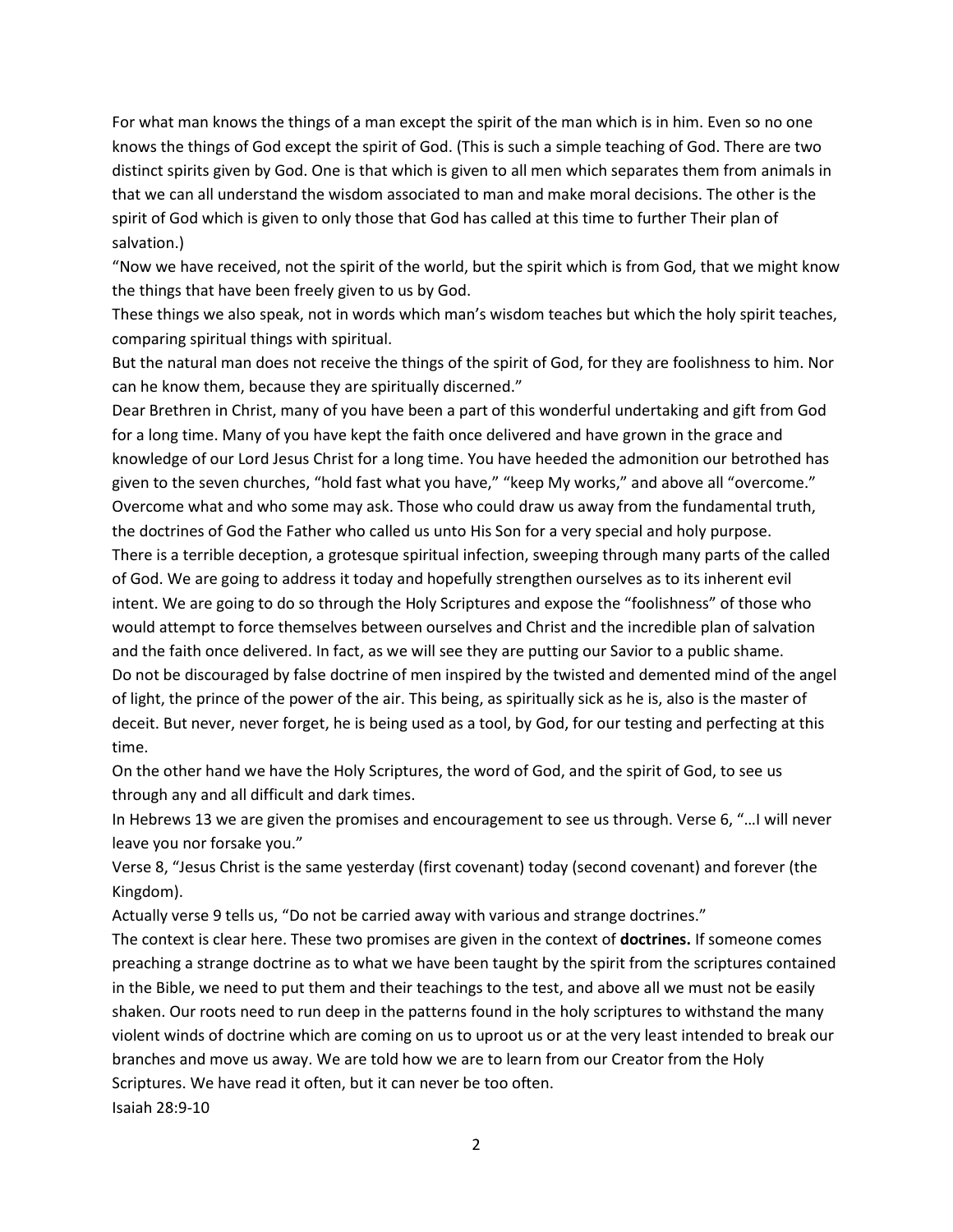For what man knows the things of a man except the spirit of the man which is in him. Even so no one knows the things of God except the spirit of God. (This is such a simple teaching of God. There are two distinct spirits given by God. One is that which is given to all men which separates them from animals in that we can all understand the wisdom associated to man and make moral decisions. The other is the spirit of God which is given to only those that God has called at this time to further Their plan of salvation.)

"Now we have received, not the spirit of the world, but the spirit which is from God, that we might know the things that have been freely given to us by God.

These things we also speak, not in words which man's wisdom teaches but which the holy spirit teaches, comparing spiritual things with spiritual.

But the natural man does not receive the things of the spirit of God, for they are foolishness to him. Nor can he know them, because they are spiritually discerned."

Dear Brethren in Christ, many of you have been a part of this wonderful undertaking and gift from God for a long time. Many of you have kept the faith once delivered and have grown in the grace and knowledge of our Lord Jesus Christ for a long time. You have heeded the admonition our betrothed has given to the seven churches, "hold fast what you have," "keep My works," and above all "overcome." Overcome what and who some may ask. Those who could draw us away from the fundamental truth, the doctrines of God the Father who called us unto His Son for a very special and holy purpose. There is a terrible deception, a grotesque spiritual infection, sweeping through many parts of the called of God. We are going to address it today and hopefully strengthen ourselves as to its inherent evil

intent. We are going to do so through the Holy Scriptures and expose the "foolishness" of those who would attempt to force themselves between ourselves and Christ and the incredible plan of salvation and the faith once delivered. In fact, as we will see they are putting our Savior to a public shame. Do not be discouraged by false doctrine of men inspired by the twisted and demented mind of the angel of light, the prince of the power of the air. This being, as spiritually sick as he is, also is the master of deceit. But never, never forget, he is being used as a tool, by God, for our testing and perfecting at this time.

On the other hand we have the Holy Scriptures, the word of God, and the spirit of God, to see us through any and all difficult and dark times.

In Hebrews 13 we are given the promises and encouragement to see us through. Verse 6, "…I will never leave you nor forsake you."

Verse 8, "Jesus Christ is the same yesterday (first covenant) today (second covenant) and forever (the Kingdom).

Actually verse 9 tells us, "Do not be carried away with various and strange doctrines."

The context is clear here. These two promises are given in the context of **doctrines.** If someone comes preaching a strange doctrine as to what we have been taught by the spirit from the scriptures contained in the Bible, we need to put them and their teachings to the test, and above all we must not be easily shaken. Our roots need to run deep in the patterns found in the holy scriptures to withstand the many violent winds of doctrine which are coming on us to uproot us or at the very least intended to break our branches and move us away. We are told how we are to learn from our Creator from the Holy Scriptures. We have read it often, but it can never be too often. Isaiah 28:9-10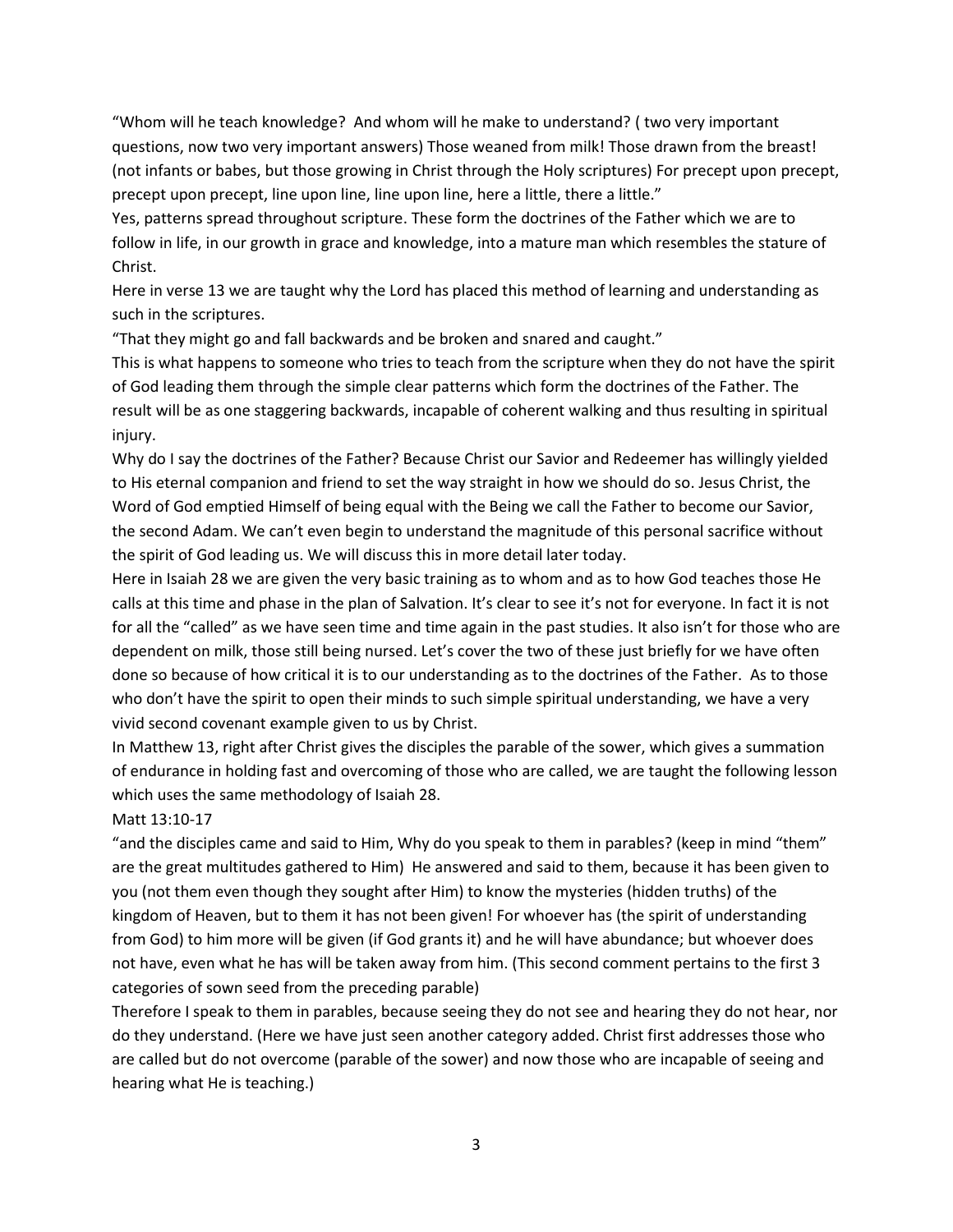"Whom will he teach knowledge? And whom will he make to understand? ( two very important questions, now two very important answers) Those weaned from milk! Those drawn from the breast! (not infants or babes, but those growing in Christ through the Holy scriptures) For precept upon precept, precept upon precept, line upon line, line upon line, here a little, there a little."

Yes, patterns spread throughout scripture. These form the doctrines of the Father which we are to follow in life, in our growth in grace and knowledge, into a mature man which resembles the stature of Christ.

Here in verse 13 we are taught why the Lord has placed this method of learning and understanding as such in the scriptures.

"That they might go and fall backwards and be broken and snared and caught."

This is what happens to someone who tries to teach from the scripture when they do not have the spirit of God leading them through the simple clear patterns which form the doctrines of the Father. The result will be as one staggering backwards, incapable of coherent walking and thus resulting in spiritual injury.

Why do I say the doctrines of the Father? Because Christ our Savior and Redeemer has willingly yielded to His eternal companion and friend to set the way straight in how we should do so. Jesus Christ, the Word of God emptied Himself of being equal with the Being we call the Father to become our Savior, the second Adam. We can't even begin to understand the magnitude of this personal sacrifice without the spirit of God leading us. We will discuss this in more detail later today.

Here in Isaiah 28 we are given the very basic training as to whom and as to how God teaches those He calls at this time and phase in the plan of Salvation. It's clear to see it's not for everyone. In fact it is not for all the "called" as we have seen time and time again in the past studies. It also isn't for those who are dependent on milk, those still being nursed. Let's cover the two of these just briefly for we have often done so because of how critical it is to our understanding as to the doctrines of the Father. As to those who don't have the spirit to open their minds to such simple spiritual understanding, we have a very vivid second covenant example given to us by Christ.

In Matthew 13, right after Christ gives the disciples the parable of the sower, which gives a summation of endurance in holding fast and overcoming of those who are called, we are taught the following lesson which uses the same methodology of Isaiah 28.

# Matt 13:10-17

"and the disciples came and said to Him, Why do you speak to them in parables? (keep in mind "them" are the great multitudes gathered to Him) He answered and said to them, because it has been given to you (not them even though they sought after Him) to know the mysteries (hidden truths) of the kingdom of Heaven, but to them it has not been given! For whoever has (the spirit of understanding from God) to him more will be given (if God grants it) and he will have abundance; but whoever does not have, even what he has will be taken away from him. (This second comment pertains to the first 3 categories of sown seed from the preceding parable)

Therefore I speak to them in parables, because seeing they do not see and hearing they do not hear, nor do they understand. (Here we have just seen another category added. Christ first addresses those who are called but do not overcome (parable of the sower) and now those who are incapable of seeing and hearing what He is teaching.)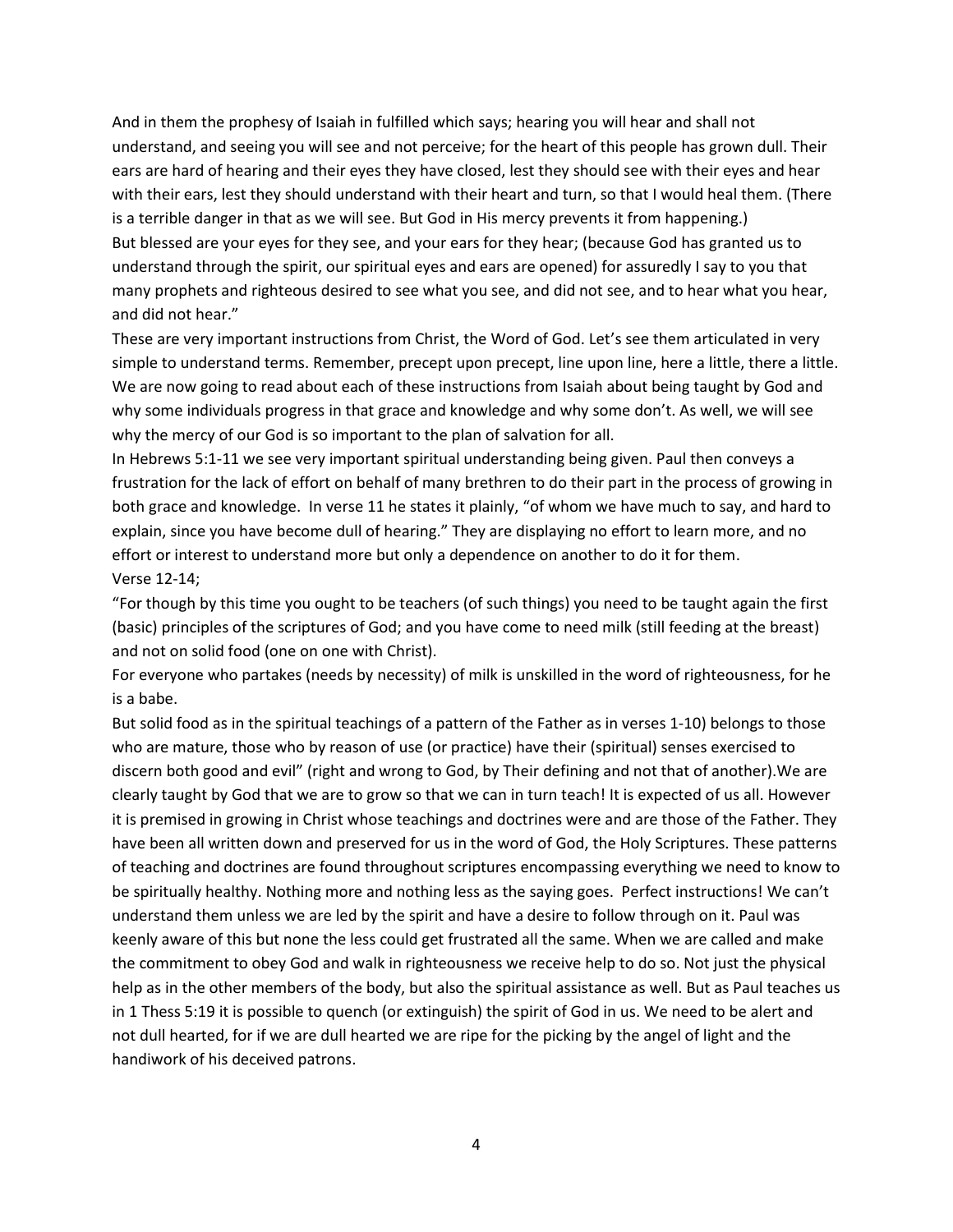And in them the prophesy of Isaiah in fulfilled which says; hearing you will hear and shall not understand, and seeing you will see and not perceive; for the heart of this people has grown dull. Their ears are hard of hearing and their eyes they have closed, lest they should see with their eyes and hear with their ears, lest they should understand with their heart and turn, so that I would heal them. (There is a terrible danger in that as we will see. But God in His mercy prevents it from happening.) But blessed are your eyes for they see, and your ears for they hear; (because God has granted us to understand through the spirit, our spiritual eyes and ears are opened) for assuredly I say to you that many prophets and righteous desired to see what you see, and did not see, and to hear what you hear, and did not hear."

These are very important instructions from Christ, the Word of God. Let's see them articulated in very simple to understand terms. Remember, precept upon precept, line upon line, here a little, there a little. We are now going to read about each of these instructions from Isaiah about being taught by God and why some individuals progress in that grace and knowledge and why some don't. As well, we will see why the mercy of our God is so important to the plan of salvation for all.

In Hebrews 5:1-11 we see very important spiritual understanding being given. Paul then conveys a frustration for the lack of effort on behalf of many brethren to do their part in the process of growing in both grace and knowledge. In verse 11 he states it plainly, "of whom we have much to say, and hard to explain, since you have become dull of hearing." They are displaying no effort to learn more, and no effort or interest to understand more but only a dependence on another to do it for them. Verse 12-14;

"For though by this time you ought to be teachers (of such things) you need to be taught again the first (basic) principles of the scriptures of God; and you have come to need milk (still feeding at the breast) and not on solid food (one on one with Christ).

For everyone who partakes (needs by necessity) of milk is unskilled in the word of righteousness, for he is a babe.

But solid food as in the spiritual teachings of a pattern of the Father as in verses 1-10) belongs to those who are mature, those who by reason of use (or practice) have their (spiritual) senses exercised to discern both good and evil" (right and wrong to God, by Their defining and not that of another).We are clearly taught by God that we are to grow so that we can in turn teach! It is expected of us all. However it is premised in growing in Christ whose teachings and doctrines were and are those of the Father. They have been all written down and preserved for us in the word of God, the Holy Scriptures. These patterns of teaching and doctrines are found throughout scriptures encompassing everything we need to know to be spiritually healthy. Nothing more and nothing less as the saying goes. Perfect instructions! We can't understand them unless we are led by the spirit and have a desire to follow through on it. Paul was keenly aware of this but none the less could get frustrated all the same. When we are called and make the commitment to obey God and walk in righteousness we receive help to do so. Not just the physical help as in the other members of the body, but also the spiritual assistance as well. But as Paul teaches us in 1 Thess 5:19 it is possible to quench (or extinguish) the spirit of God in us. We need to be alert and not dull hearted, for if we are dull hearted we are ripe for the picking by the angel of light and the handiwork of his deceived patrons.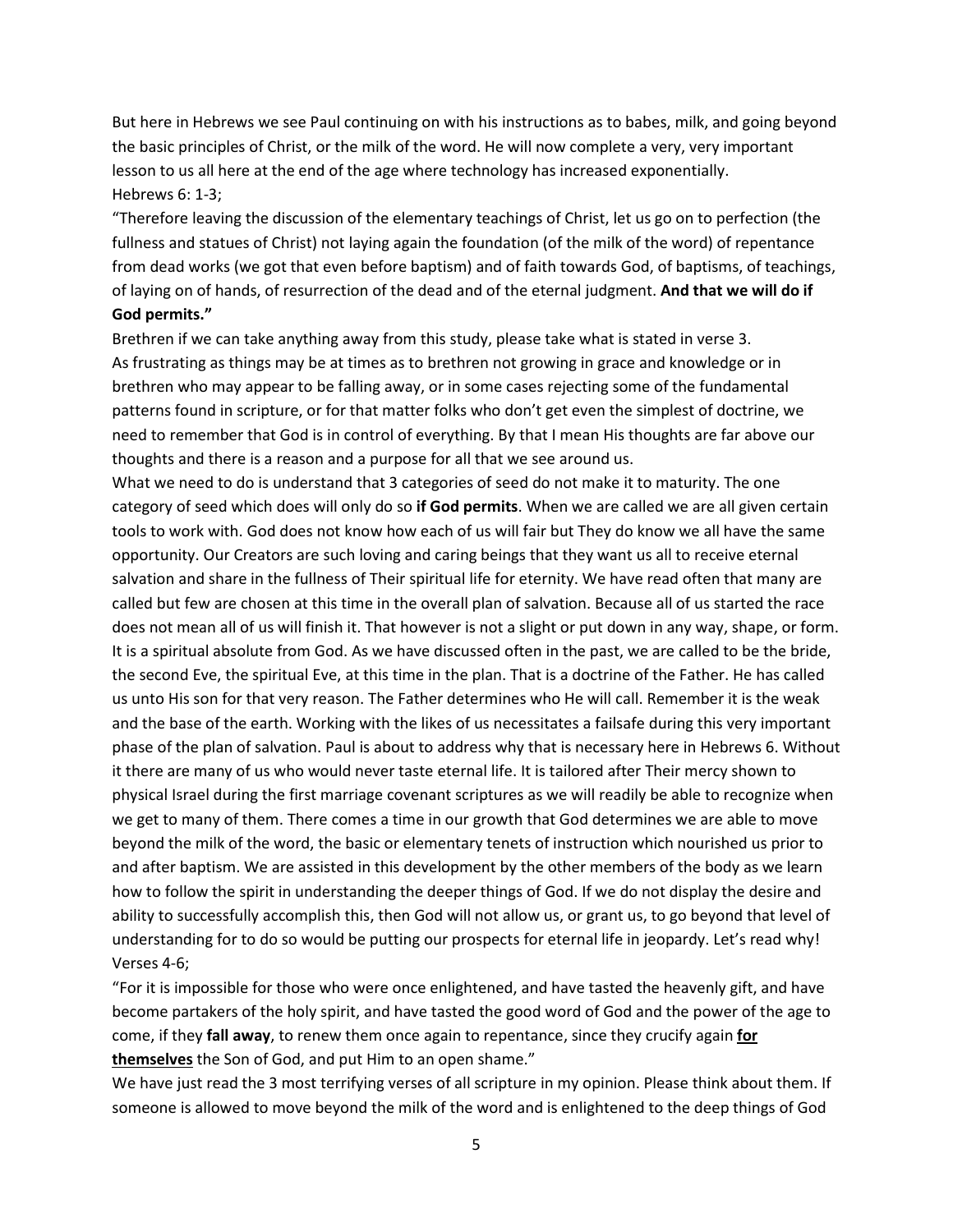But here in Hebrews we see Paul continuing on with his instructions as to babes, milk, and going beyond the basic principles of Christ, or the milk of the word. He will now complete a very, very important lesson to us all here at the end of the age where technology has increased exponentially. Hebrews 6: 1-3;

"Therefore leaving the discussion of the elementary teachings of Christ, let us go on to perfection (the fullness and statues of Christ) not laying again the foundation (of the milk of the word) of repentance from dead works (we got that even before baptism) and of faith towards God, of baptisms, of teachings, of laying on of hands, of resurrection of the dead and of the eternal judgment. **And that we will do if God permits."** 

Brethren if we can take anything away from this study, please take what is stated in verse 3. As frustrating as things may be at times as to brethren not growing in grace and knowledge or in brethren who may appear to be falling away, or in some cases rejecting some of the fundamental patterns found in scripture, or for that matter folks who don't get even the simplest of doctrine, we need to remember that God is in control of everything. By that I mean His thoughts are far above our thoughts and there is a reason and a purpose for all that we see around us.

What we need to do is understand that 3 categories of seed do not make it to maturity. The one category of seed which does will only do so **if God permits**. When we are called we are all given certain tools to work with. God does not know how each of us will fair but They do know we all have the same opportunity. Our Creators are such loving and caring beings that they want us all to receive eternal salvation and share in the fullness of Their spiritual life for eternity. We have read often that many are called but few are chosen at this time in the overall plan of salvation. Because all of us started the race does not mean all of us will finish it. That however is not a slight or put down in any way, shape, or form. It is a spiritual absolute from God. As we have discussed often in the past, we are called to be the bride, the second Eve, the spiritual Eve, at this time in the plan. That is a doctrine of the Father. He has called us unto His son for that very reason. The Father determines who He will call. Remember it is the weak and the base of the earth. Working with the likes of us necessitates a failsafe during this very important phase of the plan of salvation. Paul is about to address why that is necessary here in Hebrews 6. Without it there are many of us who would never taste eternal life. It is tailored after Their mercy shown to physical Israel during the first marriage covenant scriptures as we will readily be able to recognize when we get to many of them. There comes a time in our growth that God determines we are able to move beyond the milk of the word, the basic or elementary tenets of instruction which nourished us prior to and after baptism. We are assisted in this development by the other members of the body as we learn how to follow the spirit in understanding the deeper things of God. If we do not display the desire and ability to successfully accomplish this, then God will not allow us, or grant us, to go beyond that level of understanding for to do so would be putting our prospects for eternal life in jeopardy. Let's read why! Verses 4-6;

"For it is impossible for those who were once enlightened, and have tasted the heavenly gift, and have become partakers of the holy spirit, and have tasted the good word of God and the power of the age to come, if they **fall away**, to renew them once again to repentance, since they crucify again **for themselves** the Son of God, and put Him to an open shame."

We have just read the 3 most terrifying verses of all scripture in my opinion. Please think about them. If someone is allowed to move beyond the milk of the word and is enlightened to the deep things of God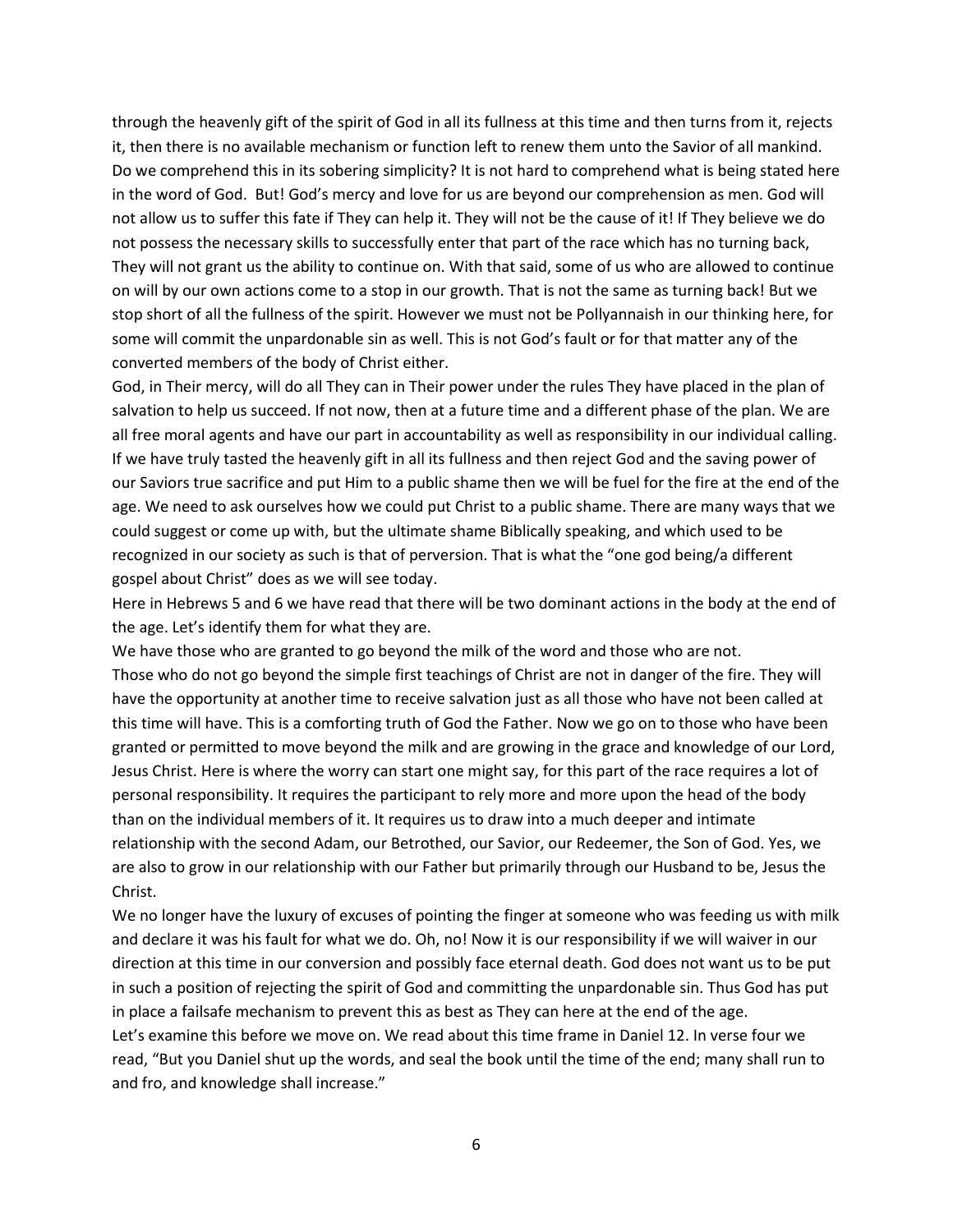through the heavenly gift of the spirit of God in all its fullness at this time and then turns from it, rejects it, then there is no available mechanism or function left to renew them unto the Savior of all mankind. Do we comprehend this in its sobering simplicity? It is not hard to comprehend what is being stated here in the word of God. But! God's mercy and love for us are beyond our comprehension as men. God will not allow us to suffer this fate if They can help it. They will not be the cause of it! If They believe we do not possess the necessary skills to successfully enter that part of the race which has no turning back, They will not grant us the ability to continue on. With that said, some of us who are allowed to continue on will by our own actions come to a stop in our growth. That is not the same as turning back! But we stop short of all the fullness of the spirit. However we must not be Pollyannaish in our thinking here, for some will commit the unpardonable sin as well. This is not God's fault or for that matter any of the converted members of the body of Christ either.

God, in Their mercy, will do all They can in Their power under the rules They have placed in the plan of salvation to help us succeed. If not now, then at a future time and a different phase of the plan. We are all free moral agents and have our part in accountability as well as responsibility in our individual calling. If we have truly tasted the heavenly gift in all its fullness and then reject God and the saving power of our Saviors true sacrifice and put Him to a public shame then we will be fuel for the fire at the end of the age. We need to ask ourselves how we could put Christ to a public shame. There are many ways that we could suggest or come up with, but the ultimate shame Biblically speaking, and which used to be recognized in our society as such is that of perversion. That is what the "one god being/a different gospel about Christ" does as we will see today.

Here in Hebrews 5 and 6 we have read that there will be two dominant actions in the body at the end of the age. Let's identify them for what they are.

We have those who are granted to go beyond the milk of the word and those who are not. Those who do not go beyond the simple first teachings of Christ are not in danger of the fire. They will have the opportunity at another time to receive salvation just as all those who have not been called at this time will have. This is a comforting truth of God the Father. Now we go on to those who have been granted or permitted to move beyond the milk and are growing in the grace and knowledge of our Lord, Jesus Christ. Here is where the worry can start one might say, for this part of the race requires a lot of personal responsibility. It requires the participant to rely more and more upon the head of the body than on the individual members of it. It requires us to draw into a much deeper and intimate relationship with the second Adam, our Betrothed, our Savior, our Redeemer, the Son of God. Yes, we are also to grow in our relationship with our Father but primarily through our Husband to be, Jesus the Christ.

We no longer have the luxury of excuses of pointing the finger at someone who was feeding us with milk and declare it was his fault for what we do. Oh, no! Now it is our responsibility if we will waiver in our direction at this time in our conversion and possibly face eternal death. God does not want us to be put in such a position of rejecting the spirit of God and committing the unpardonable sin. Thus God has put in place a failsafe mechanism to prevent this as best as They can here at the end of the age. Let's examine this before we move on. We read about this time frame in Daniel 12. In verse four we read, "But you Daniel shut up the words, and seal the book until the time of the end; many shall run to and fro, and knowledge shall increase."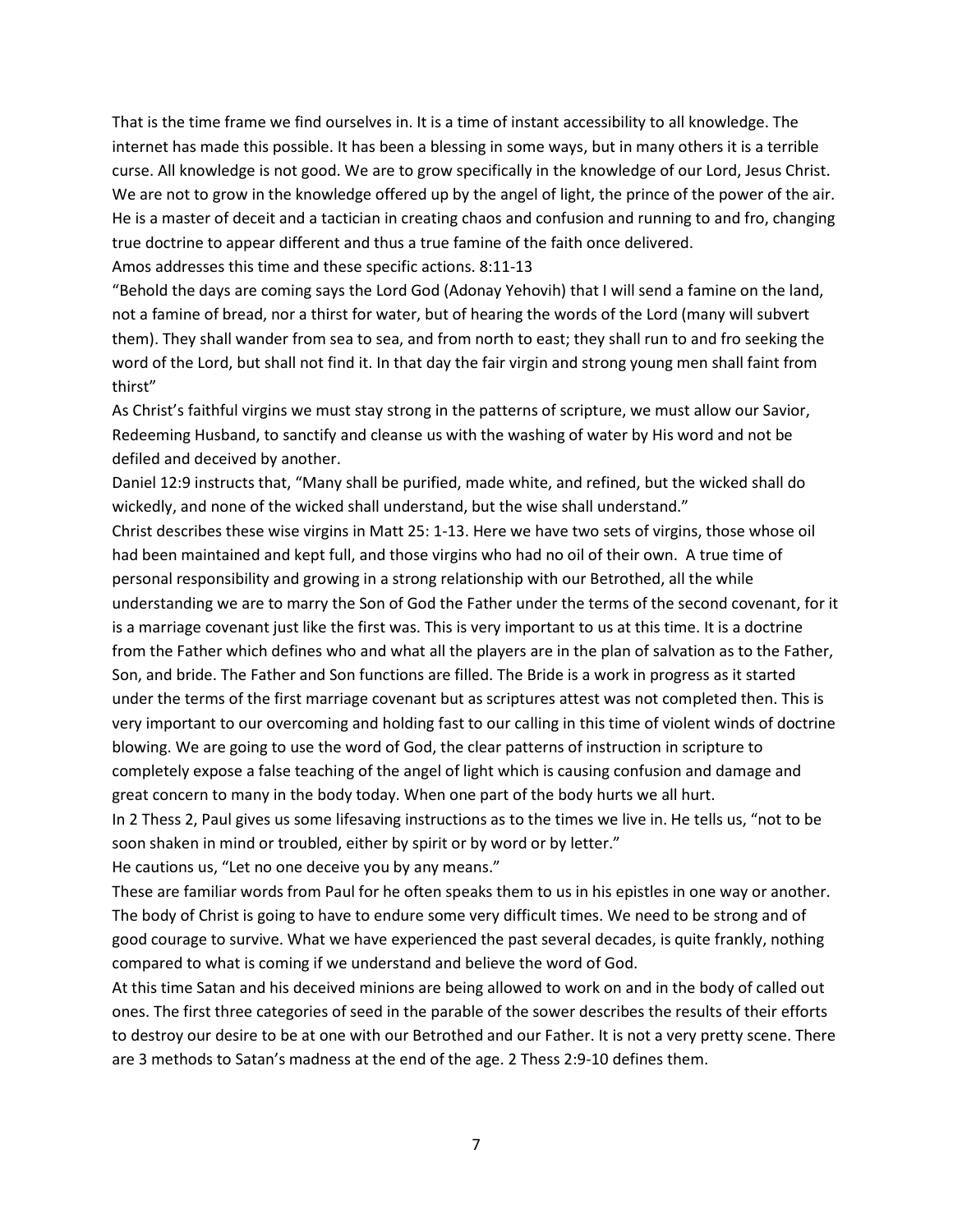That is the time frame we find ourselves in. It is a time of instant accessibility to all knowledge. The internet has made this possible. It has been a blessing in some ways, but in many others it is a terrible curse. All knowledge is not good. We are to grow specifically in the knowledge of our Lord, Jesus Christ. We are not to grow in the knowledge offered up by the angel of light, the prince of the power of the air. He is a master of deceit and a tactician in creating chaos and confusion and running to and fro, changing true doctrine to appear different and thus a true famine of the faith once delivered.

Amos addresses this time and these specific actions. 8:11-13

"Behold the days are coming says the Lord God (Adonay Yehovih) that I will send a famine on the land, not a famine of bread, nor a thirst for water, but of hearing the words of the Lord (many will subvert them). They shall wander from sea to sea, and from north to east; they shall run to and fro seeking the word of the Lord, but shall not find it. In that day the fair virgin and strong young men shall faint from thirst"

As Christ's faithful virgins we must stay strong in the patterns of scripture, we must allow our Savior, Redeeming Husband, to sanctify and cleanse us with the washing of water by His word and not be defiled and deceived by another.

Daniel 12:9 instructs that, "Many shall be purified, made white, and refined, but the wicked shall do wickedly, and none of the wicked shall understand, but the wise shall understand."

Christ describes these wise virgins in Matt 25: 1-13. Here we have two sets of virgins, those whose oil had been maintained and kept full, and those virgins who had no oil of their own. A true time of personal responsibility and growing in a strong relationship with our Betrothed, all the while understanding we are to marry the Son of God the Father under the terms of the second covenant, for it is a marriage covenant just like the first was. This is very important to us at this time. It is a doctrine from the Father which defines who and what all the players are in the plan of salvation as to the Father, Son, and bride. The Father and Son functions are filled. The Bride is a work in progress as it started under the terms of the first marriage covenant but as scriptures attest was not completed then. This is very important to our overcoming and holding fast to our calling in this time of violent winds of doctrine blowing. We are going to use the word of God, the clear patterns of instruction in scripture to completely expose a false teaching of the angel of light which is causing confusion and damage and great concern to many in the body today. When one part of the body hurts we all hurt. In 2 Thess 2, Paul gives us some lifesaving instructions as to the times we live in. He tells us, "not to be soon shaken in mind or troubled, either by spirit or by word or by letter."

He cautions us, "Let no one deceive you by any means."

These are familiar words from Paul for he often speaks them to us in his epistles in one way or another. The body of Christ is going to have to endure some very difficult times. We need to be strong and of good courage to survive. What we have experienced the past several decades, is quite frankly, nothing compared to what is coming if we understand and believe the word of God.

At this time Satan and his deceived minions are being allowed to work on and in the body of called out ones. The first three categories of seed in the parable of the sower describes the results of their efforts to destroy our desire to be at one with our Betrothed and our Father. It is not a very pretty scene. There are 3 methods to Satan's madness at the end of the age. 2 Thess 2:9-10 defines them.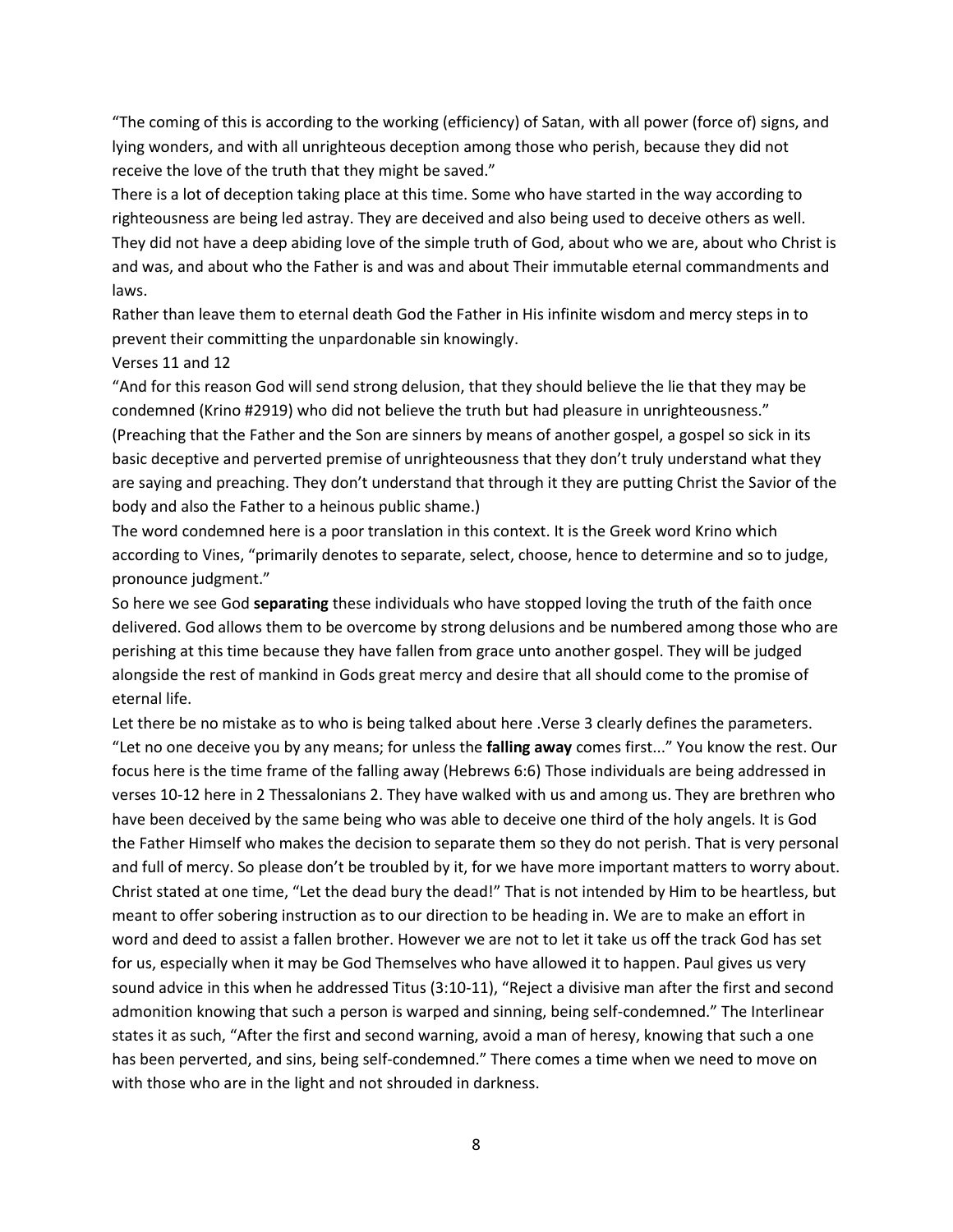"The coming of this is according to the working (efficiency) of Satan, with all power (force of) signs, and lying wonders, and with all unrighteous deception among those who perish, because they did not receive the love of the truth that they might be saved."

There is a lot of deception taking place at this time. Some who have started in the way according to righteousness are being led astray. They are deceived and also being used to deceive others as well. They did not have a deep abiding love of the simple truth of God, about who we are, about who Christ is and was, and about who the Father is and was and about Their immutable eternal commandments and laws.

Rather than leave them to eternal death God the Father in His infinite wisdom and mercy steps in to prevent their committing the unpardonable sin knowingly.

## Verses 11 and 12

"And for this reason God will send strong delusion, that they should believe the lie that they may be condemned (Krino #2919) who did not believe the truth but had pleasure in unrighteousness." (Preaching that the Father and the Son are sinners by means of another gospel, a gospel so sick in its basic deceptive and perverted premise of unrighteousness that they don't truly understand what they are saying and preaching. They don't understand that through it they are putting Christ the Savior of the body and also the Father to a heinous public shame.)

The word condemned here is a poor translation in this context. It is the Greek word Krino which according to Vines, "primarily denotes to separate, select, choose, hence to determine and so to judge, pronounce judgment."

So here we see God **separating** these individuals who have stopped loving the truth of the faith once delivered. God allows them to be overcome by strong delusions and be numbered among those who are perishing at this time because they have fallen from grace unto another gospel. They will be judged alongside the rest of mankind in Gods great mercy and desire that all should come to the promise of eternal life.

Let there be no mistake as to who is being talked about here .Verse 3 clearly defines the parameters. "Let no one deceive you by any means; for unless the **falling away** comes first..." You know the rest. Our focus here is the time frame of the falling away (Hebrews 6:6) Those individuals are being addressed in verses 10-12 here in 2 Thessalonians 2. They have walked with us and among us. They are brethren who have been deceived by the same being who was able to deceive one third of the holy angels. It is God the Father Himself who makes the decision to separate them so they do not perish. That is very personal and full of mercy. So please don't be troubled by it, for we have more important matters to worry about. Christ stated at one time, "Let the dead bury the dead!" That is not intended by Him to be heartless, but meant to offer sobering instruction as to our direction to be heading in. We are to make an effort in word and deed to assist a fallen brother. However we are not to let it take us off the track God has set for us, especially when it may be God Themselves who have allowed it to happen. Paul gives us very sound advice in this when he addressed Titus (3:10-11), "Reject a divisive man after the first and second admonition knowing that such a person is warped and sinning, being self-condemned." The Interlinear states it as such, "After the first and second warning, avoid a man of heresy, knowing that such a one has been perverted, and sins, being self-condemned." There comes a time when we need to move on with those who are in the light and not shrouded in darkness.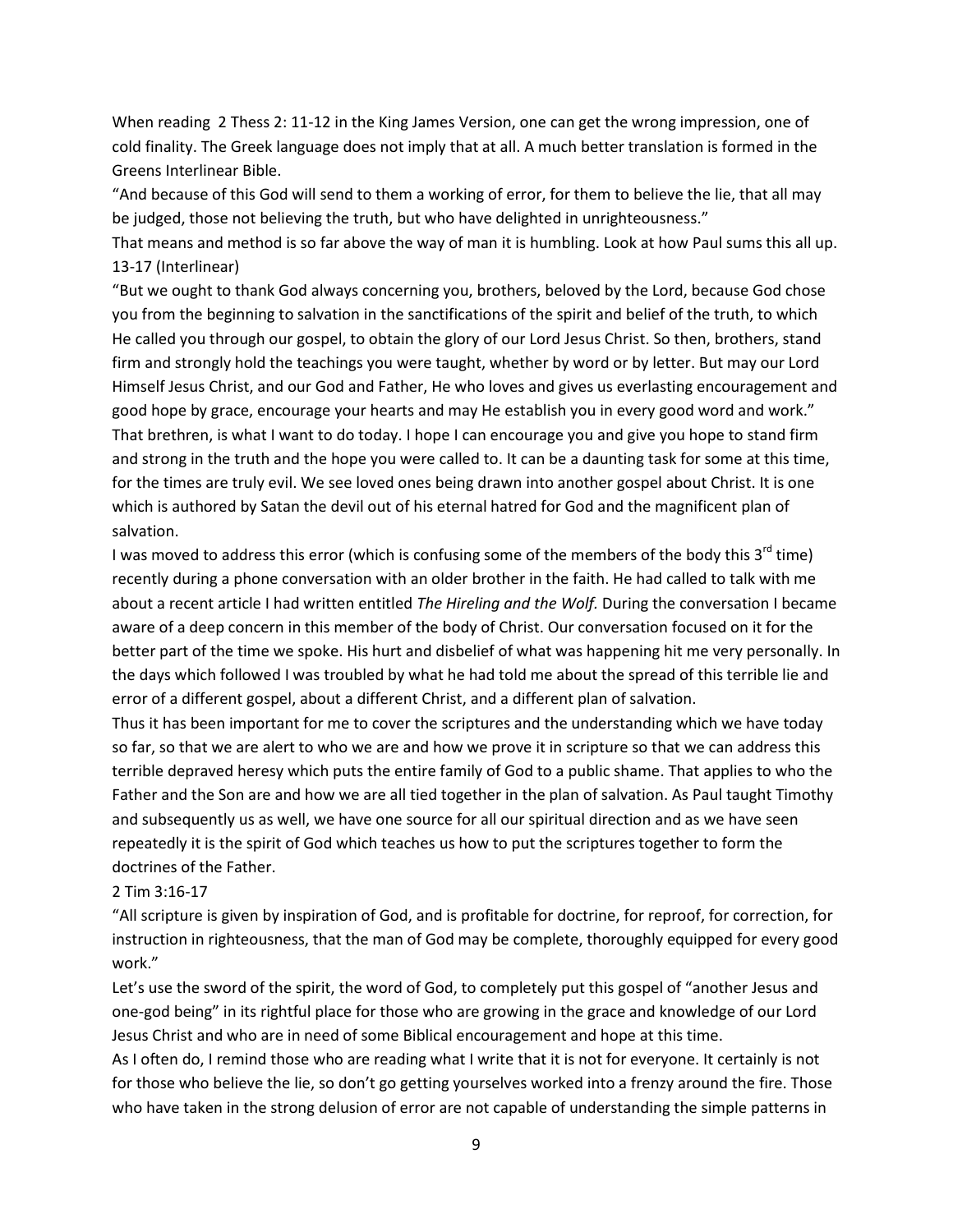When reading 2 Thess 2: 11-12 in the King James Version, one can get the wrong impression, one of cold finality. The Greek language does not imply that at all. A much better translation is formed in the Greens Interlinear Bible.

"And because of this God will send to them a working of error, for them to believe the lie, that all may be judged, those not believing the truth, but who have delighted in unrighteousness."

That means and method is so far above the way of man it is humbling. Look at how Paul sums this all up. 13-17 (Interlinear)

"But we ought to thank God always concerning you, brothers, beloved by the Lord, because God chose you from the beginning to salvation in the sanctifications of the spirit and belief of the truth, to which He called you through our gospel, to obtain the glory of our Lord Jesus Christ. So then, brothers, stand firm and strongly hold the teachings you were taught, whether by word or by letter. But may our Lord Himself Jesus Christ, and our God and Father, He who loves and gives us everlasting encouragement and good hope by grace, encourage your hearts and may He establish you in every good word and work." That brethren, is what I want to do today. I hope I can encourage you and give you hope to stand firm and strong in the truth and the hope you were called to. It can be a daunting task for some at this time, for the times are truly evil. We see loved ones being drawn into another gospel about Christ. It is one which is authored by Satan the devil out of his eternal hatred for God and the magnificent plan of salvation.

I was moved to address this error (which is confusing some of the members of the body this  $3^{rd}$  time) recently during a phone conversation with an older brother in the faith. He had called to talk with me about a recent article I had written entitled *The Hireling and the Wolf.* During the conversation I became aware of a deep concern in this member of the body of Christ. Our conversation focused on it for the better part of the time we spoke. His hurt and disbelief of what was happening hit me very personally. In the days which followed I was troubled by what he had told me about the spread of this terrible lie and error of a different gospel, about a different Christ, and a different plan of salvation.

Thus it has been important for me to cover the scriptures and the understanding which we have today so far, so that we are alert to who we are and how we prove it in scripture so that we can address this terrible depraved heresy which puts the entire family of God to a public shame. That applies to who the Father and the Son are and how we are all tied together in the plan of salvation. As Paul taught Timothy and subsequently us as well, we have one source for all our spiritual direction and as we have seen repeatedly it is the spirit of God which teaches us how to put the scriptures together to form the doctrines of the Father.

#### 2 Tim 3:16-17

"All scripture is given by inspiration of God, and is profitable for doctrine, for reproof, for correction, for instruction in righteousness, that the man of God may be complete, thoroughly equipped for every good work."

Let's use the sword of the spirit, the word of God, to completely put this gospel of "another Jesus and one-god being" in its rightful place for those who are growing in the grace and knowledge of our Lord Jesus Christ and who are in need of some Biblical encouragement and hope at this time.

As I often do, I remind those who are reading what I write that it is not for everyone. It certainly is not for those who believe the lie, so don't go getting yourselves worked into a frenzy around the fire. Those who have taken in the strong delusion of error are not capable of understanding the simple patterns in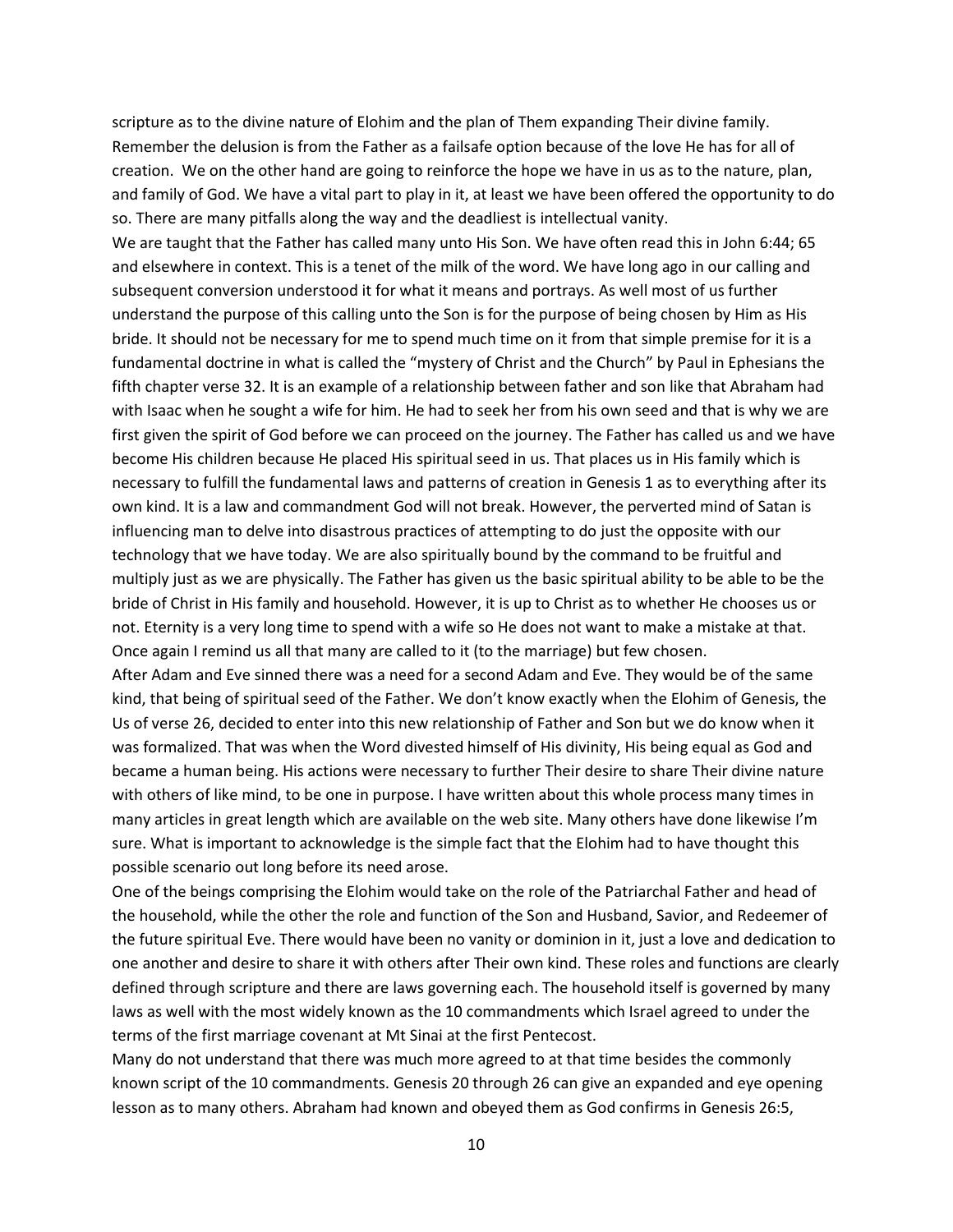scripture as to the divine nature of Elohim and the plan of Them expanding Their divine family. Remember the delusion is from the Father as a failsafe option because of the love He has for all of creation. We on the other hand are going to reinforce the hope we have in us as to the nature, plan, and family of God. We have a vital part to play in it, at least we have been offered the opportunity to do so. There are many pitfalls along the way and the deadliest is intellectual vanity.

We are taught that the Father has called many unto His Son. We have often read this in John 6:44; 65 and elsewhere in context. This is a tenet of the milk of the word. We have long ago in our calling and subsequent conversion understood it for what it means and portrays. As well most of us further understand the purpose of this calling unto the Son is for the purpose of being chosen by Him as His bride. It should not be necessary for me to spend much time on it from that simple premise for it is a fundamental doctrine in what is called the "mystery of Christ and the Church" by Paul in Ephesians the fifth chapter verse 32. It is an example of a relationship between father and son like that Abraham had with Isaac when he sought a wife for him. He had to seek her from his own seed and that is why we are first given the spirit of God before we can proceed on the journey. The Father has called us and we have become His children because He placed His spiritual seed in us. That places us in His family which is necessary to fulfill the fundamental laws and patterns of creation in Genesis 1 as to everything after its own kind. It is a law and commandment God will not break. However, the perverted mind of Satan is influencing man to delve into disastrous practices of attempting to do just the opposite with our technology that we have today. We are also spiritually bound by the command to be fruitful and multiply just as we are physically. The Father has given us the basic spiritual ability to be able to be the bride of Christ in His family and household. However, it is up to Christ as to whether He chooses us or not. Eternity is a very long time to spend with a wife so He does not want to make a mistake at that. Once again I remind us all that many are called to it (to the marriage) but few chosen.

After Adam and Eve sinned there was a need for a second Adam and Eve. They would be of the same kind, that being of spiritual seed of the Father. We don't know exactly when the Elohim of Genesis, the Us of verse 26, decided to enter into this new relationship of Father and Son but we do know when it was formalized. That was when the Word divested himself of His divinity, His being equal as God and became a human being. His actions were necessary to further Their desire to share Their divine nature with others of like mind, to be one in purpose. I have written about this whole process many times in many articles in great length which are available on the web site. Many others have done likewise I'm sure. What is important to acknowledge is the simple fact that the Elohim had to have thought this possible scenario out long before its need arose.

One of the beings comprising the Elohim would take on the role of the Patriarchal Father and head of the household, while the other the role and function of the Son and Husband, Savior, and Redeemer of the future spiritual Eve. There would have been no vanity or dominion in it, just a love and dedication to one another and desire to share it with others after Their own kind. These roles and functions are clearly defined through scripture and there are laws governing each. The household itself is governed by many laws as well with the most widely known as the 10 commandments which Israel agreed to under the terms of the first marriage covenant at Mt Sinai at the first Pentecost.

Many do not understand that there was much more agreed to at that time besides the commonly known script of the 10 commandments. Genesis 20 through 26 can give an expanded and eye opening lesson as to many others. Abraham had known and obeyed them as God confirms in Genesis 26:5,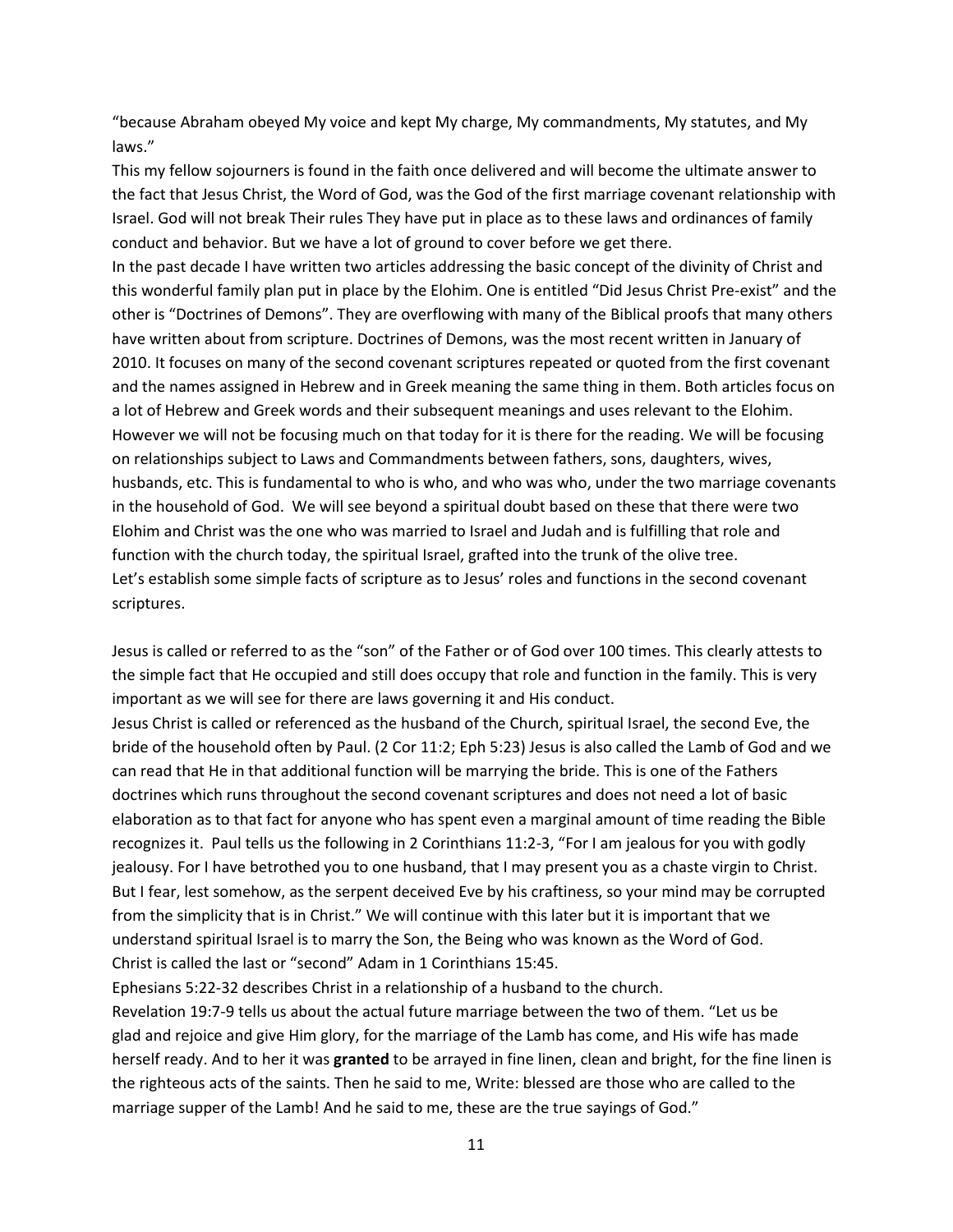"because Abraham obeyed My voice and kept My charge, My commandments, My statutes, and My laws."

This my fellow sojourners is found in the faith once delivered and will become the ultimate answer to the fact that Jesus Christ, the Word of God, was the God of the first marriage covenant relationship with Israel. God will not break Their rules They have put in place as to these laws and ordinances of family conduct and behavior. But we have a lot of ground to cover before we get there.

In the past decade I have written two articles addressing the basic concept of the divinity of Christ and this wonderful family plan put in place by the Elohim. One is entitled "Did Jesus Christ Pre-exist" and the other is "Doctrines of Demons". They are overflowing with many of the Biblical proofs that many others have written about from scripture. Doctrines of Demons, was the most recent written in January of 2010. It focuses on many of the second covenant scriptures repeated or quoted from the first covenant and the names assigned in Hebrew and in Greek meaning the same thing in them. Both articles focus on a lot of Hebrew and Greek words and their subsequent meanings and uses relevant to the Elohim. However we will not be focusing much on that today for it is there for the reading. We will be focusing on relationships subject to Laws and Commandments between fathers, sons, daughters, wives, husbands, etc. This is fundamental to who is who, and who was who, under the two marriage covenants in the household of God. We will see beyond a spiritual doubt based on these that there were two Elohim and Christ was the one who was married to Israel and Judah and is fulfilling that role and function with the church today, the spiritual Israel, grafted into the trunk of the olive tree. Let's establish some simple facts of scripture as to Jesus' roles and functions in the second covenant scriptures.

Jesus is called or referred to as the "son" of the Father or of God over 100 times. This clearly attests to the simple fact that He occupied and still does occupy that role and function in the family. This is very important as we will see for there are laws governing it and His conduct.

Jesus Christ is called or referenced as the husband of the Church, spiritual Israel, the second Eve, the bride of the household often by Paul. (2 Cor 11:2; Eph 5:23) Jesus is also called the Lamb of God and we can read that He in that additional function will be marrying the bride. This is one of the Fathers doctrines which runs throughout the second covenant scriptures and does not need a lot of basic elaboration as to that fact for anyone who has spent even a marginal amount of time reading the Bible recognizes it. Paul tells us the following in 2 Corinthians 11:2-3, "For I am jealous for you with godly jealousy. For I have betrothed you to one husband, that I may present you as a chaste virgin to Christ. But I fear, lest somehow, as the serpent deceived Eve by his craftiness, so your mind may be corrupted from the simplicity that is in Christ." We will continue with this later but it is important that we understand spiritual Israel is to marry the Son, the Being who was known as the Word of God. Christ is called the last or "second" Adam in 1 Corinthians 15:45.

Ephesians 5:22-32 describes Christ in a relationship of a husband to the church.

Revelation 19:7-9 tells us about the actual future marriage between the two of them. "Let us be glad and rejoice and give Him glory, for the marriage of the Lamb has come, and His wife has made herself ready. And to her it was **granted** to be arrayed in fine linen, clean and bright, for the fine linen is the righteous acts of the saints. Then he said to me, Write: blessed are those who are called to the marriage supper of the Lamb! And he said to me, these are the true sayings of God."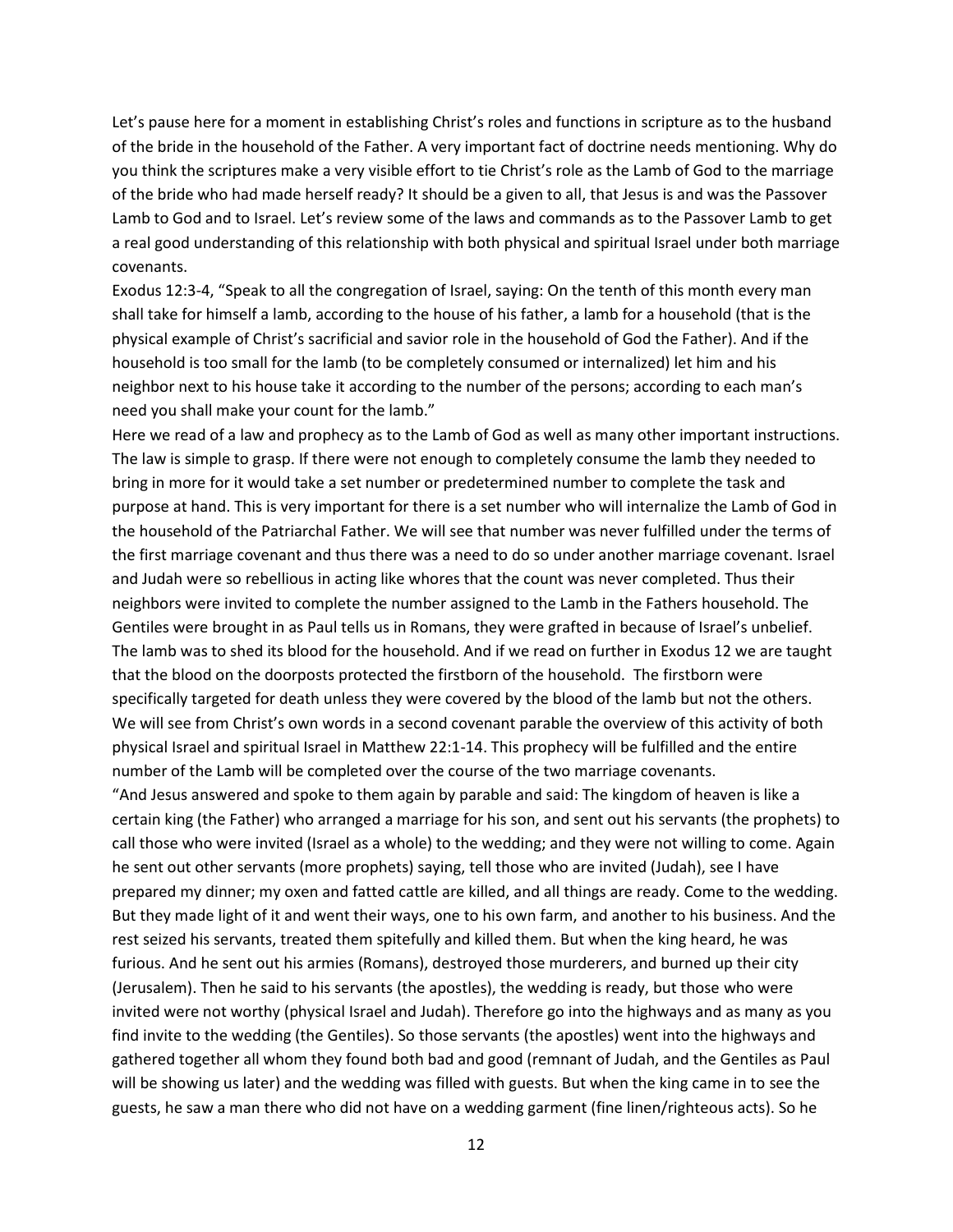Let's pause here for a moment in establishing Christ's roles and functions in scripture as to the husband of the bride in the household of the Father. A very important fact of doctrine needs mentioning. Why do you think the scriptures make a very visible effort to tie Christ's role as the Lamb of God to the marriage of the bride who had made herself ready? It should be a given to all, that Jesus is and was the Passover Lamb to God and to Israel. Let's review some of the laws and commands as to the Passover Lamb to get a real good understanding of this relationship with both physical and spiritual Israel under both marriage covenants.

Exodus 12:3-4, "Speak to all the congregation of Israel, saying: On the tenth of this month every man shall take for himself a lamb, according to the house of his father, a lamb for a household (that is the physical example of Christ's sacrificial and savior role in the household of God the Father). And if the household is too small for the lamb (to be completely consumed or internalized) let him and his neighbor next to his house take it according to the number of the persons; according to each man's need you shall make your count for the lamb."

Here we read of a law and prophecy as to the Lamb of God as well as many other important instructions. The law is simple to grasp. If there were not enough to completely consume the lamb they needed to bring in more for it would take a set number or predetermined number to complete the task and purpose at hand. This is very important for there is a set number who will internalize the Lamb of God in the household of the Patriarchal Father. We will see that number was never fulfilled under the terms of the first marriage covenant and thus there was a need to do so under another marriage covenant. Israel and Judah were so rebellious in acting like whores that the count was never completed. Thus their neighbors were invited to complete the number assigned to the Lamb in the Fathers household. The Gentiles were brought in as Paul tells us in Romans, they were grafted in because of Israel's unbelief. The lamb was to shed its blood for the household. And if we read on further in Exodus 12 we are taught that the blood on the doorposts protected the firstborn of the household. The firstborn were specifically targeted for death unless they were covered by the blood of the lamb but not the others. We will see from Christ's own words in a second covenant parable the overview of this activity of both physical Israel and spiritual Israel in Matthew 22:1-14. This prophecy will be fulfilled and the entire number of the Lamb will be completed over the course of the two marriage covenants.

"And Jesus answered and spoke to them again by parable and said: The kingdom of heaven is like a certain king (the Father) who arranged a marriage for his son, and sent out his servants (the prophets) to call those who were invited (Israel as a whole) to the wedding; and they were not willing to come. Again he sent out other servants (more prophets) saying, tell those who are invited (Judah), see I have prepared my dinner; my oxen and fatted cattle are killed, and all things are ready. Come to the wedding. But they made light of it and went their ways, one to his own farm, and another to his business. And the rest seized his servants, treated them spitefully and killed them. But when the king heard, he was furious. And he sent out his armies (Romans), destroyed those murderers, and burned up their city (Jerusalem). Then he said to his servants (the apostles), the wedding is ready, but those who were invited were not worthy (physical Israel and Judah). Therefore go into the highways and as many as you find invite to the wedding (the Gentiles). So those servants (the apostles) went into the highways and gathered together all whom they found both bad and good (remnant of Judah, and the Gentiles as Paul will be showing us later) and the wedding was filled with guests. But when the king came in to see the guests, he saw a man there who did not have on a wedding garment (fine linen/righteous acts). So he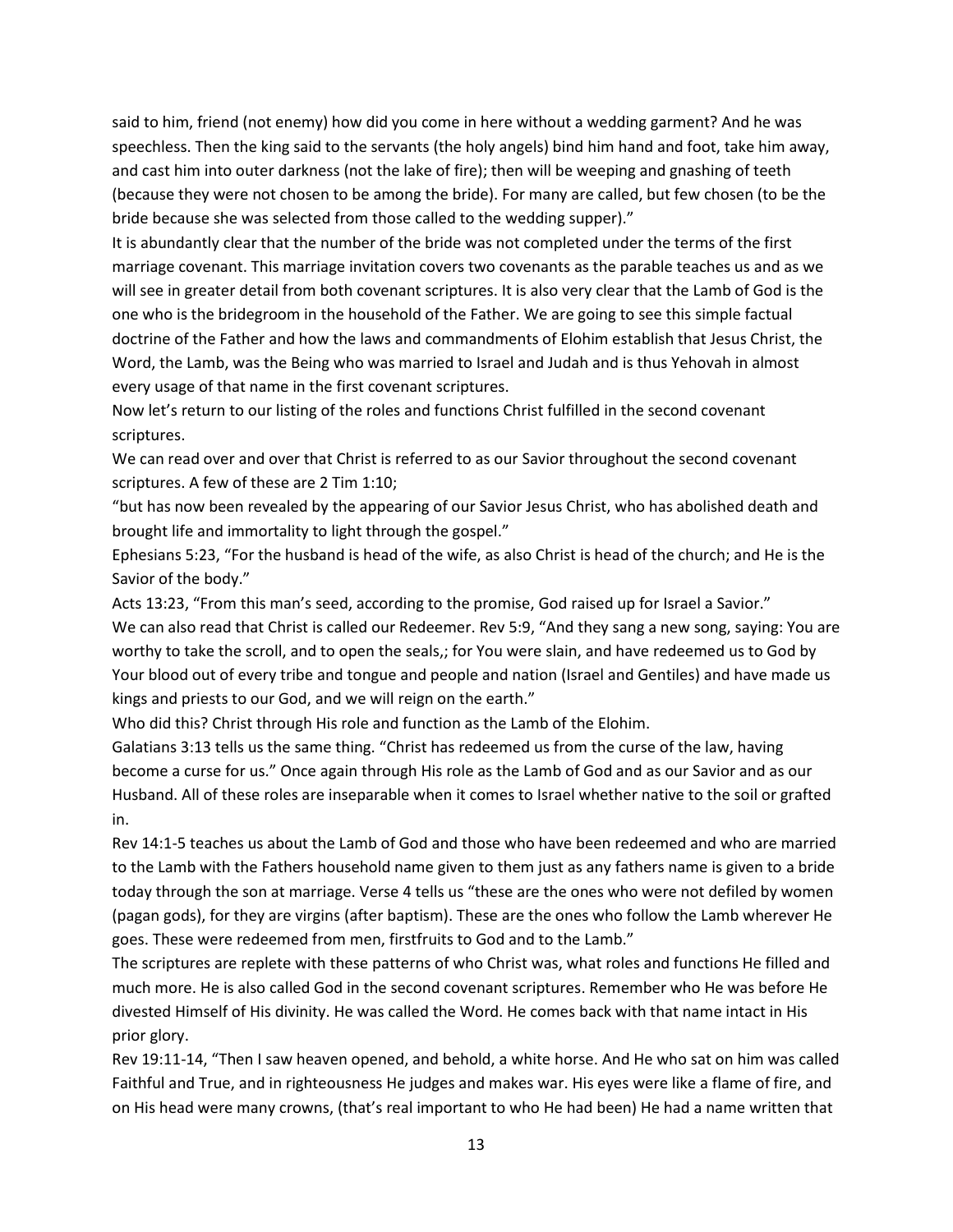said to him, friend (not enemy) how did you come in here without a wedding garment? And he was speechless. Then the king said to the servants (the holy angels) bind him hand and foot, take him away, and cast him into outer darkness (not the lake of fire); then will be weeping and gnashing of teeth (because they were not chosen to be among the bride). For many are called, but few chosen (to be the bride because she was selected from those called to the wedding supper)."

It is abundantly clear that the number of the bride was not completed under the terms of the first marriage covenant. This marriage invitation covers two covenants as the parable teaches us and as we will see in greater detail from both covenant scriptures. It is also very clear that the Lamb of God is the one who is the bridegroom in the household of the Father. We are going to see this simple factual doctrine of the Father and how the laws and commandments of Elohim establish that Jesus Christ, the Word, the Lamb, was the Being who was married to Israel and Judah and is thus Yehovah in almost every usage of that name in the first covenant scriptures.

Now let's return to our listing of the roles and functions Christ fulfilled in the second covenant scriptures.

We can read over and over that Christ is referred to as our Savior throughout the second covenant scriptures. A few of these are 2 Tim 1:10;

"but has now been revealed by the appearing of our Savior Jesus Christ, who has abolished death and brought life and immortality to light through the gospel."

Ephesians 5:23, "For the husband is head of the wife, as also Christ is head of the church; and He is the Savior of the body."

Acts 13:23, "From this man's seed, according to the promise, God raised up for Israel a Savior." We can also read that Christ is called our Redeemer. Rev 5:9, "And they sang a new song, saying: You are worthy to take the scroll, and to open the seals,; for You were slain, and have redeemed us to God by Your blood out of every tribe and tongue and people and nation (Israel and Gentiles) and have made us kings and priests to our God, and we will reign on the earth."

Who did this? Christ through His role and function as the Lamb of the Elohim.

Galatians 3:13 tells us the same thing. "Christ has redeemed us from the curse of the law, having become a curse for us." Once again through His role as the Lamb of God and as our Savior and as our Husband. All of these roles are inseparable when it comes to Israel whether native to the soil or grafted in.

Rev 14:1-5 teaches us about the Lamb of God and those who have been redeemed and who are married to the Lamb with the Fathers household name given to them just as any fathers name is given to a bride today through the son at marriage. Verse 4 tells us "these are the ones who were not defiled by women (pagan gods), for they are virgins (after baptism). These are the ones who follow the Lamb wherever He goes. These were redeemed from men, firstfruits to God and to the Lamb."

The scriptures are replete with these patterns of who Christ was, what roles and functions He filled and much more. He is also called God in the second covenant scriptures. Remember who He was before He divested Himself of His divinity. He was called the Word. He comes back with that name intact in His prior glory.

Rev 19:11-14, "Then I saw heaven opened, and behold, a white horse. And He who sat on him was called Faithful and True, and in righteousness He judges and makes war. His eyes were like a flame of fire, and on His head were many crowns, (that's real important to who He had been) He had a name written that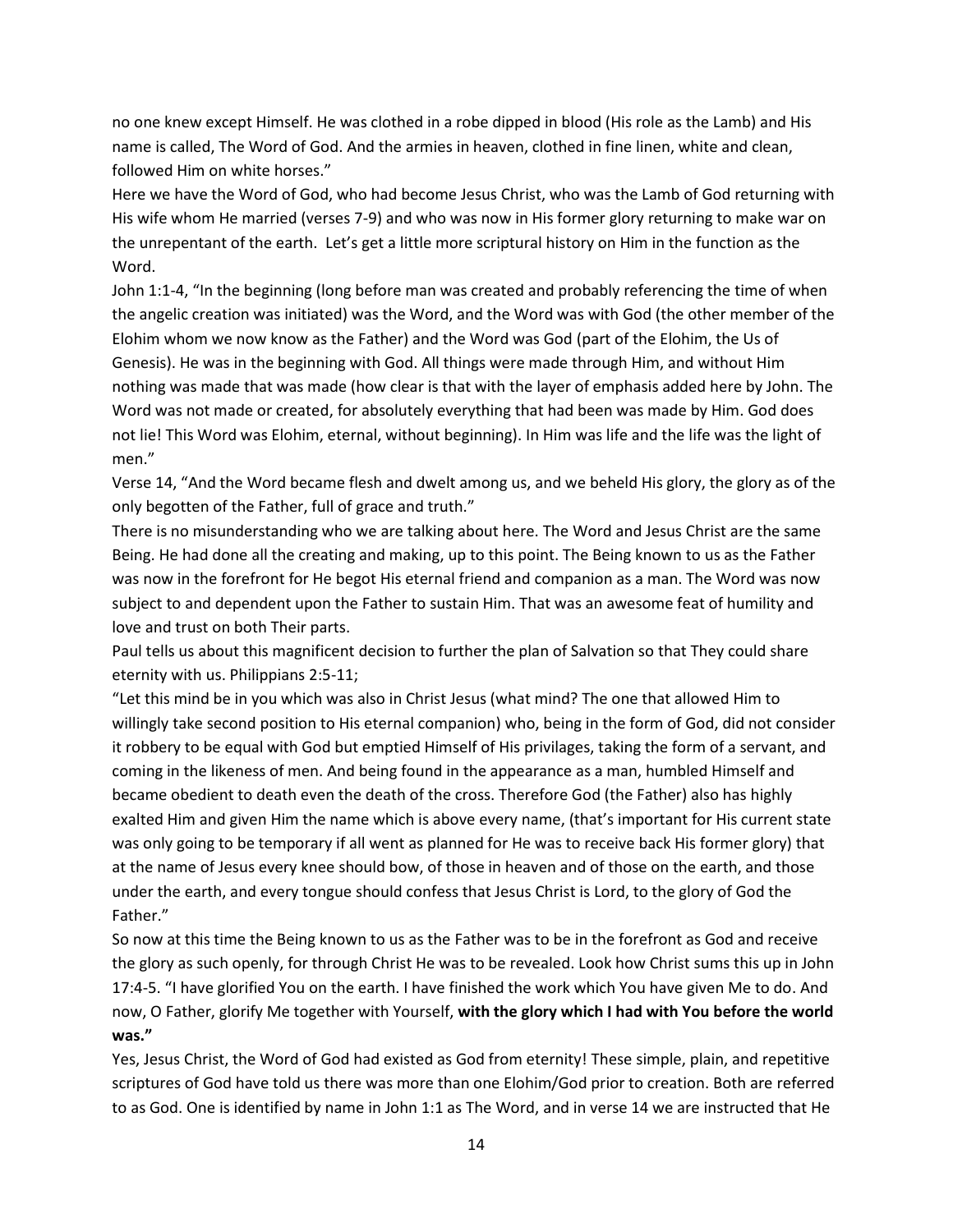no one knew except Himself. He was clothed in a robe dipped in blood (His role as the Lamb) and His name is called, The Word of God. And the armies in heaven, clothed in fine linen, white and clean, followed Him on white horses."

Here we have the Word of God, who had become Jesus Christ, who was the Lamb of God returning with His wife whom He married (verses 7-9) and who was now in His former glory returning to make war on the unrepentant of the earth. Let's get a little more scriptural history on Him in the function as the Word.

John 1:1-4, "In the beginning (long before man was created and probably referencing the time of when the angelic creation was initiated) was the Word, and the Word was with God (the other member of the Elohim whom we now know as the Father) and the Word was God (part of the Elohim, the Us of Genesis). He was in the beginning with God. All things were made through Him, and without Him nothing was made that was made (how clear is that with the layer of emphasis added here by John. The Word was not made or created, for absolutely everything that had been was made by Him. God does not lie! This Word was Elohim, eternal, without beginning). In Him was life and the life was the light of men."

Verse 14, "And the Word became flesh and dwelt among us, and we beheld His glory, the glory as of the only begotten of the Father, full of grace and truth."

There is no misunderstanding who we are talking about here. The Word and Jesus Christ are the same Being. He had done all the creating and making, up to this point. The Being known to us as the Father was now in the forefront for He begot His eternal friend and companion as a man. The Word was now subject to and dependent upon the Father to sustain Him. That was an awesome feat of humility and love and trust on both Their parts.

Paul tells us about this magnificent decision to further the plan of Salvation so that They could share eternity with us. Philippians 2:5-11;

"Let this mind be in you which was also in Christ Jesus (what mind? The one that allowed Him to willingly take second position to His eternal companion) who, being in the form of God, did not consider it robbery to be equal with God but emptied Himself of His privilages, taking the form of a servant, and coming in the likeness of men. And being found in the appearance as a man, humbled Himself and became obedient to death even the death of the cross. Therefore God (the Father) also has highly exalted Him and given Him the name which is above every name, (that's important for His current state was only going to be temporary if all went as planned for He was to receive back His former glory) that at the name of Jesus every knee should bow, of those in heaven and of those on the earth, and those under the earth, and every tongue should confess that Jesus Christ is Lord, to the glory of God the Father."

So now at this time the Being known to us as the Father was to be in the forefront as God and receive the glory as such openly, for through Christ He was to be revealed. Look how Christ sums this up in John 17:4-5. "I have glorified You on the earth. I have finished the work which You have given Me to do. And now, O Father, glorify Me together with Yourself, **with the glory which I had with You before the world was."**

Yes, Jesus Christ, the Word of God had existed as God from eternity! These simple, plain, and repetitive scriptures of God have told us there was more than one Elohim/God prior to creation. Both are referred to as God. One is identified by name in John 1:1 as The Word, and in verse 14 we are instructed that He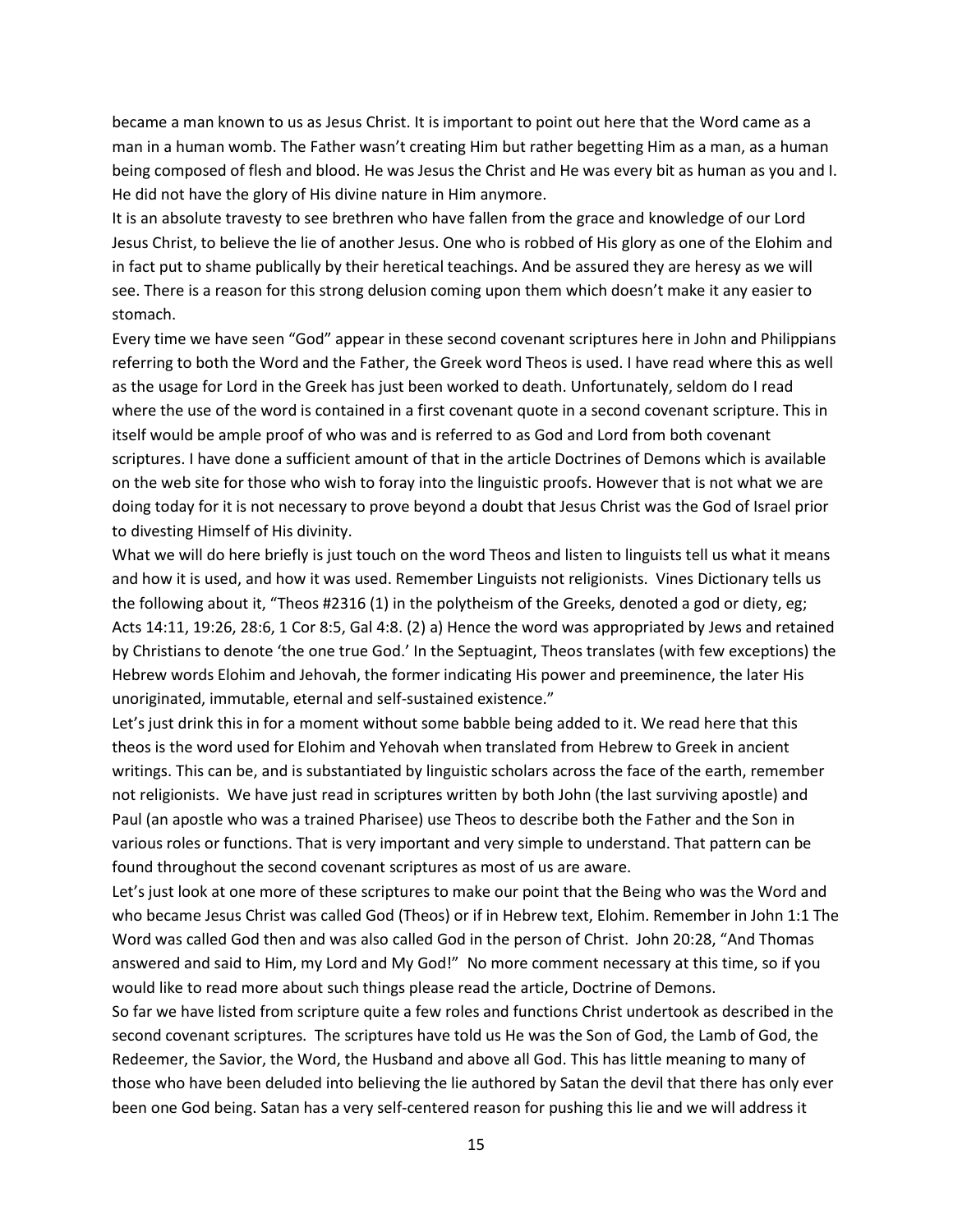became a man known to us as Jesus Christ. It is important to point out here that the Word came as a man in a human womb. The Father wasn't creating Him but rather begetting Him as a man, as a human being composed of flesh and blood. He was Jesus the Christ and He was every bit as human as you and I. He did not have the glory of His divine nature in Him anymore.

It is an absolute travesty to see brethren who have fallen from the grace and knowledge of our Lord Jesus Christ, to believe the lie of another Jesus. One who is robbed of His glory as one of the Elohim and in fact put to shame publically by their heretical teachings. And be assured they are heresy as we will see. There is a reason for this strong delusion coming upon them which doesn't make it any easier to stomach.

Every time we have seen "God" appear in these second covenant scriptures here in John and Philippians referring to both the Word and the Father, the Greek word Theos is used. I have read where this as well as the usage for Lord in the Greek has just been worked to death. Unfortunately, seldom do I read where the use of the word is contained in a first covenant quote in a second covenant scripture. This in itself would be ample proof of who was and is referred to as God and Lord from both covenant scriptures. I have done a sufficient amount of that in the article Doctrines of Demons which is available on the web site for those who wish to foray into the linguistic proofs. However that is not what we are doing today for it is not necessary to prove beyond a doubt that Jesus Christ was the God of Israel prior to divesting Himself of His divinity.

What we will do here briefly is just touch on the word Theos and listen to linguists tell us what it means and how it is used, and how it was used. Remember Linguists not religionists. Vines Dictionary tells us the following about it, "Theos #2316 (1) in the polytheism of the Greeks, denoted a god or diety, eg; Acts 14:11, 19:26, 28:6, 1 Cor 8:5, Gal 4:8. (2) a) Hence the word was appropriated by Jews and retained by Christians to denote 'the one true God.' In the Septuagint, Theos translates (with few exceptions) the Hebrew words Elohim and Jehovah, the former indicating His power and preeminence, the later His unoriginated, immutable, eternal and self-sustained existence."

Let's just drink this in for a moment without some babble being added to it. We read here that this theos is the word used for Elohim and Yehovah when translated from Hebrew to Greek in ancient writings. This can be, and is substantiated by linguistic scholars across the face of the earth, remember not religionists. We have just read in scriptures written by both John (the last surviving apostle) and Paul (an apostle who was a trained Pharisee) use Theos to describe both the Father and the Son in various roles or functions. That is very important and very simple to understand. That pattern can be found throughout the second covenant scriptures as most of us are aware.

Let's just look at one more of these scriptures to make our point that the Being who was the Word and who became Jesus Christ was called God (Theos) or if in Hebrew text, Elohim. Remember in John 1:1 The Word was called God then and was also called God in the person of Christ. John 20:28, "And Thomas answered and said to Him, my Lord and My God!" No more comment necessary at this time, so if you would like to read more about such things please read the article, Doctrine of Demons.

So far we have listed from scripture quite a few roles and functions Christ undertook as described in the second covenant scriptures. The scriptures have told us He was the Son of God, the Lamb of God, the Redeemer, the Savior, the Word, the Husband and above all God. This has little meaning to many of those who have been deluded into believing the lie authored by Satan the devil that there has only ever been one God being. Satan has a very self-centered reason for pushing this lie and we will address it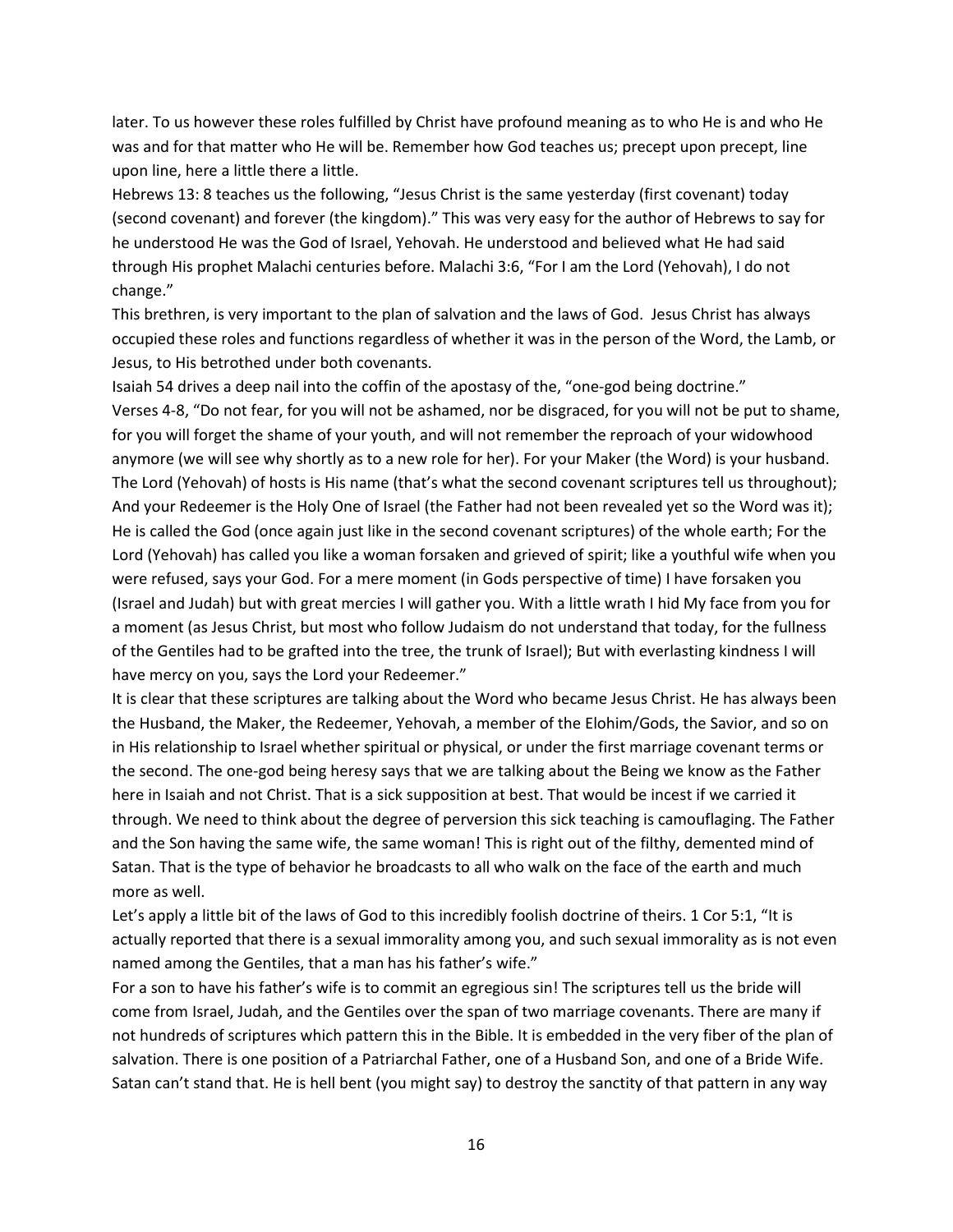later. To us however these roles fulfilled by Christ have profound meaning as to who He is and who He was and for that matter who He will be. Remember how God teaches us; precept upon precept, line upon line, here a little there a little.

Hebrews 13: 8 teaches us the following, "Jesus Christ is the same yesterday (first covenant) today (second covenant) and forever (the kingdom)." This was very easy for the author of Hebrews to say for he understood He was the God of Israel, Yehovah. He understood and believed what He had said through His prophet Malachi centuries before. Malachi 3:6, "For I am the Lord (Yehovah), I do not change."

This brethren, is very important to the plan of salvation and the laws of God. Jesus Christ has always occupied these roles and functions regardless of whether it was in the person of the Word, the Lamb, or Jesus, to His betrothed under both covenants.

Isaiah 54 drives a deep nail into the coffin of the apostasy of the, "one-god being doctrine." Verses 4-8, "Do not fear, for you will not be ashamed, nor be disgraced, for you will not be put to shame, for you will forget the shame of your youth, and will not remember the reproach of your widowhood anymore (we will see why shortly as to a new role for her). For your Maker (the Word) is your husband. The Lord (Yehovah) of hosts is His name (that's what the second covenant scriptures tell us throughout); And your Redeemer is the Holy One of Israel (the Father had not been revealed yet so the Word was it); He is called the God (once again just like in the second covenant scriptures) of the whole earth; For the Lord (Yehovah) has called you like a woman forsaken and grieved of spirit; like a youthful wife when you were refused, says your God. For a mere moment (in Gods perspective of time) I have forsaken you (Israel and Judah) but with great mercies I will gather you. With a little wrath I hid My face from you for a moment (as Jesus Christ, but most who follow Judaism do not understand that today, for the fullness of the Gentiles had to be grafted into the tree, the trunk of Israel); But with everlasting kindness I will have mercy on you, says the Lord your Redeemer."

It is clear that these scriptures are talking about the Word who became Jesus Christ. He has always been the Husband, the Maker, the Redeemer, Yehovah, a member of the Elohim/Gods, the Savior, and so on in His relationship to Israel whether spiritual or physical, or under the first marriage covenant terms or the second. The one-god being heresy says that we are talking about the Being we know as the Father here in Isaiah and not Christ. That is a sick supposition at best. That would be incest if we carried it through. We need to think about the degree of perversion this sick teaching is camouflaging. The Father and the Son having the same wife, the same woman! This is right out of the filthy, demented mind of Satan. That is the type of behavior he broadcasts to all who walk on the face of the earth and much more as well.

Let's apply a little bit of the laws of God to this incredibly foolish doctrine of theirs. 1 Cor 5:1, "It is actually reported that there is a sexual immorality among you, and such sexual immorality as is not even named among the Gentiles, that a man has his father's wife."

For a son to have his father's wife is to commit an egregious sin! The scriptures tell us the bride will come from Israel, Judah, and the Gentiles over the span of two marriage covenants. There are many if not hundreds of scriptures which pattern this in the Bible. It is embedded in the very fiber of the plan of salvation. There is one position of a Patriarchal Father, one of a Husband Son, and one of a Bride Wife. Satan can't stand that. He is hell bent (you might say) to destroy the sanctity of that pattern in any way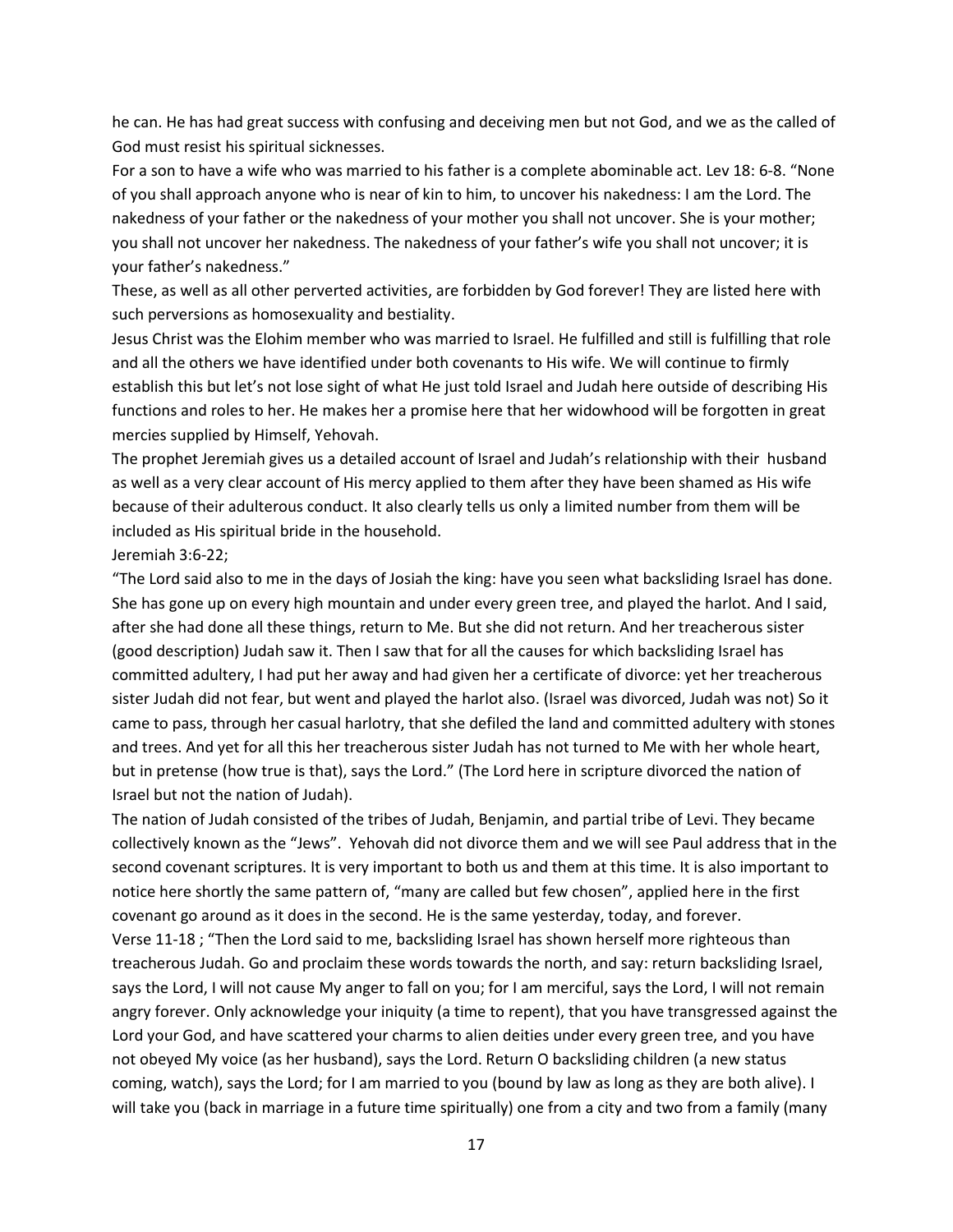he can. He has had great success with confusing and deceiving men but not God, and we as the called of God must resist his spiritual sicknesses.

For a son to have a wife who was married to his father is a complete abominable act. Lev 18: 6-8. "None of you shall approach anyone who is near of kin to him, to uncover his nakedness: I am the Lord. The nakedness of your father or the nakedness of your mother you shall not uncover. She is your mother; you shall not uncover her nakedness. The nakedness of your father's wife you shall not uncover; it is your father's nakedness."

These, as well as all other perverted activities, are forbidden by God forever! They are listed here with such perversions as homosexuality and bestiality.

Jesus Christ was the Elohim member who was married to Israel. He fulfilled and still is fulfilling that role and all the others we have identified under both covenants to His wife. We will continue to firmly establish this but let's not lose sight of what He just told Israel and Judah here outside of describing His functions and roles to her. He makes her a promise here that her widowhood will be forgotten in great mercies supplied by Himself, Yehovah.

The prophet Jeremiah gives us a detailed account of Israel and Judah's relationship with their husband as well as a very clear account of His mercy applied to them after they have been shamed as His wife because of their adulterous conduct. It also clearly tells us only a limited number from them will be included as His spiritual bride in the household.

Jeremiah 3:6-22;

"The Lord said also to me in the days of Josiah the king: have you seen what backsliding Israel has done. She has gone up on every high mountain and under every green tree, and played the harlot. And I said, after she had done all these things, return to Me. But she did not return. And her treacherous sister (good description) Judah saw it. Then I saw that for all the causes for which backsliding Israel has committed adultery, I had put her away and had given her a certificate of divorce: yet her treacherous sister Judah did not fear, but went and played the harlot also. (Israel was divorced, Judah was not) So it came to pass, through her casual harlotry, that she defiled the land and committed adultery with stones and trees. And yet for all this her treacherous sister Judah has not turned to Me with her whole heart, but in pretense (how true is that), says the Lord." (The Lord here in scripture divorced the nation of Israel but not the nation of Judah).

The nation of Judah consisted of the tribes of Judah, Benjamin, and partial tribe of Levi. They became collectively known as the "Jews". Yehovah did not divorce them and we will see Paul address that in the second covenant scriptures. It is very important to both us and them at this time. It is also important to notice here shortly the same pattern of, "many are called but few chosen", applied here in the first covenant go around as it does in the second. He is the same yesterday, today, and forever. Verse 11-18 ; "Then the Lord said to me, backsliding Israel has shown herself more righteous than treacherous Judah. Go and proclaim these words towards the north, and say: return backsliding Israel, says the Lord, I will not cause My anger to fall on you; for I am merciful, says the Lord, I will not remain angry forever. Only acknowledge your iniquity (a time to repent), that you have transgressed against the Lord your God, and have scattered your charms to alien deities under every green tree, and you have not obeyed My voice (as her husband), says the Lord. Return O backsliding children (a new status coming, watch), says the Lord; for I am married to you (bound by law as long as they are both alive). I will take you (back in marriage in a future time spiritually) one from a city and two from a family (many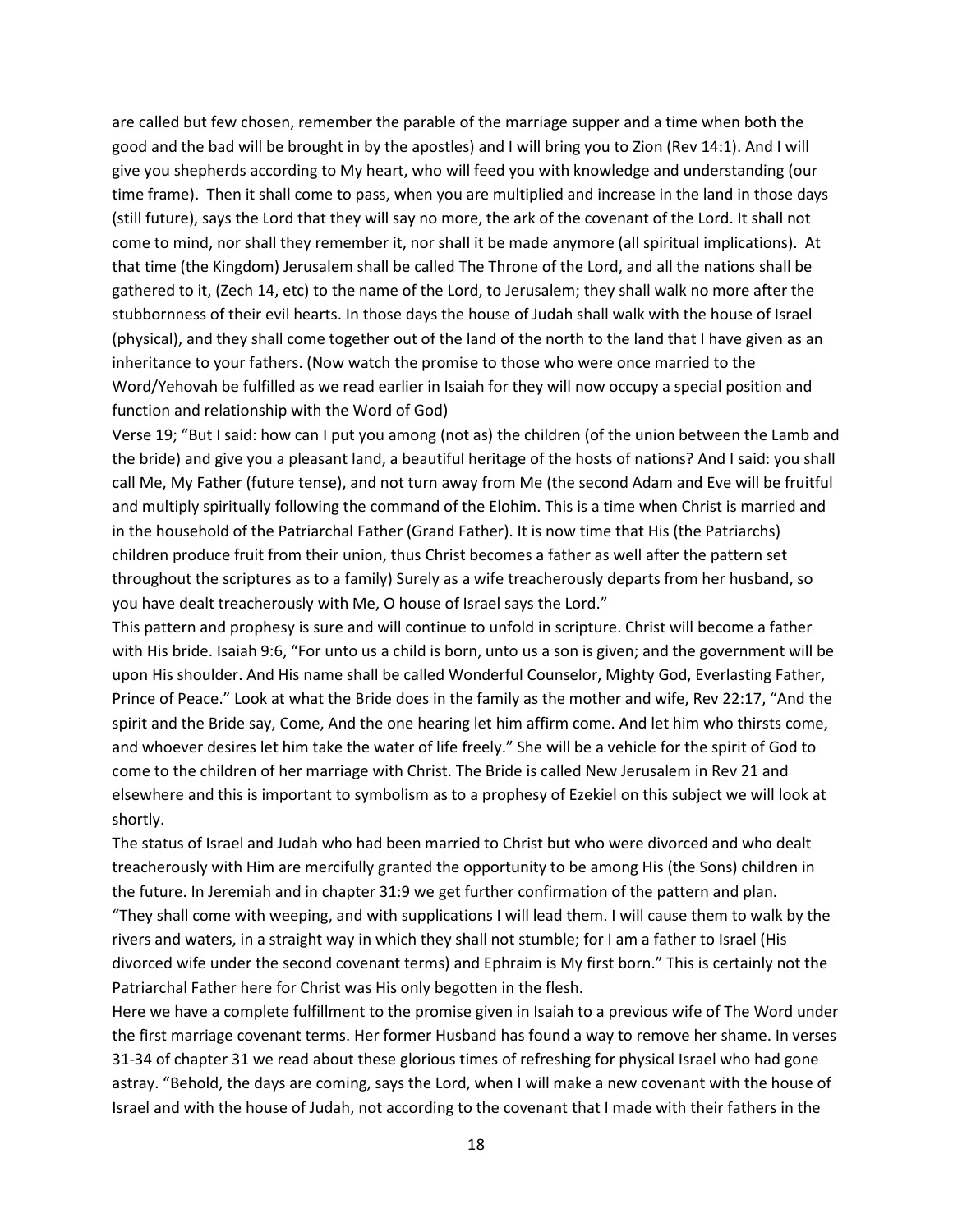are called but few chosen, remember the parable of the marriage supper and a time when both the good and the bad will be brought in by the apostles) and I will bring you to Zion (Rev 14:1). And I will give you shepherds according to My heart, who will feed you with knowledge and understanding (our time frame). Then it shall come to pass, when you are multiplied and increase in the land in those days (still future), says the Lord that they will say no more, the ark of the covenant of the Lord. It shall not come to mind, nor shall they remember it, nor shall it be made anymore (all spiritual implications). At that time (the Kingdom) Jerusalem shall be called The Throne of the Lord, and all the nations shall be gathered to it, (Zech 14, etc) to the name of the Lord, to Jerusalem; they shall walk no more after the stubbornness of their evil hearts. In those days the house of Judah shall walk with the house of Israel (physical), and they shall come together out of the land of the north to the land that I have given as an inheritance to your fathers. (Now watch the promise to those who were once married to the Word/Yehovah be fulfilled as we read earlier in Isaiah for they will now occupy a special position and function and relationship with the Word of God)

Verse 19; "But I said: how can I put you among (not as) the children (of the union between the Lamb and the bride) and give you a pleasant land, a beautiful heritage of the hosts of nations? And I said: you shall call Me, My Father (future tense), and not turn away from Me (the second Adam and Eve will be fruitful and multiply spiritually following the command of the Elohim. This is a time when Christ is married and in the household of the Patriarchal Father (Grand Father). It is now time that His (the Patriarchs) children produce fruit from their union, thus Christ becomes a father as well after the pattern set throughout the scriptures as to a family) Surely as a wife treacherously departs from her husband, so you have dealt treacherously with Me, O house of Israel says the Lord."

This pattern and prophesy is sure and will continue to unfold in scripture. Christ will become a father with His bride. Isaiah 9:6, "For unto us a child is born, unto us a son is given; and the government will be upon His shoulder. And His name shall be called Wonderful Counselor, Mighty God, Everlasting Father, Prince of Peace." Look at what the Bride does in the family as the mother and wife, Rev 22:17, "And the spirit and the Bride say, Come, And the one hearing let him affirm come. And let him who thirsts come, and whoever desires let him take the water of life freely." She will be a vehicle for the spirit of God to come to the children of her marriage with Christ. The Bride is called New Jerusalem in Rev 21 and elsewhere and this is important to symbolism as to a prophesy of Ezekiel on this subject we will look at shortly.

The status of Israel and Judah who had been married to Christ but who were divorced and who dealt treacherously with Him are mercifully granted the opportunity to be among His (the Sons) children in the future. In Jeremiah and in chapter 31:9 we get further confirmation of the pattern and plan.

"They shall come with weeping, and with supplications I will lead them. I will cause them to walk by the rivers and waters, in a straight way in which they shall not stumble; for I am a father to Israel (His divorced wife under the second covenant terms) and Ephraim is My first born." This is certainly not the Patriarchal Father here for Christ was His only begotten in the flesh.

Here we have a complete fulfillment to the promise given in Isaiah to a previous wife of The Word under the first marriage covenant terms. Her former Husband has found a way to remove her shame. In verses 31-34 of chapter 31 we read about these glorious times of refreshing for physical Israel who had gone astray. "Behold, the days are coming, says the Lord, when I will make a new covenant with the house of Israel and with the house of Judah, not according to the covenant that I made with their fathers in the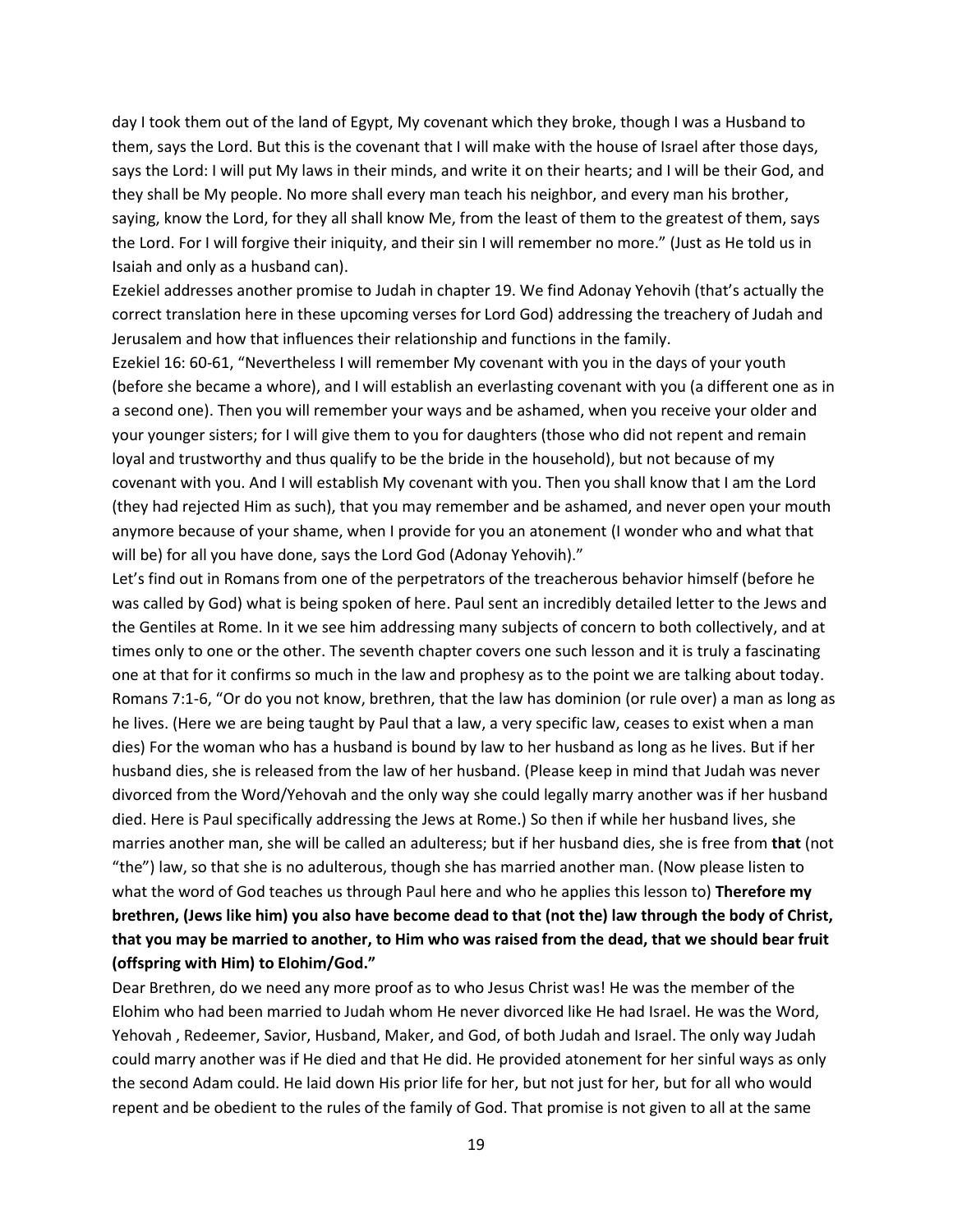day I took them out of the land of Egypt, My covenant which they broke, though I was a Husband to them, says the Lord. But this is the covenant that I will make with the house of Israel after those days, says the Lord: I will put My laws in their minds, and write it on their hearts; and I will be their God, and they shall be My people. No more shall every man teach his neighbor, and every man his brother, saying, know the Lord, for they all shall know Me, from the least of them to the greatest of them, says the Lord. For I will forgive their iniquity, and their sin I will remember no more." (Just as He told us in Isaiah and only as a husband can).

Ezekiel addresses another promise to Judah in chapter 19. We find Adonay Yehovih (that's actually the correct translation here in these upcoming verses for Lord God) addressing the treachery of Judah and Jerusalem and how that influences their relationship and functions in the family.

Ezekiel 16: 60-61, "Nevertheless I will remember My covenant with you in the days of your youth (before she became a whore), and I will establish an everlasting covenant with you (a different one as in a second one). Then you will remember your ways and be ashamed, when you receive your older and your younger sisters; for I will give them to you for daughters (those who did not repent and remain loyal and trustworthy and thus qualify to be the bride in the household), but not because of my covenant with you. And I will establish My covenant with you. Then you shall know that I am the Lord (they had rejected Him as such), that you may remember and be ashamed, and never open your mouth anymore because of your shame, when I provide for you an atonement (I wonder who and what that will be) for all you have done, says the Lord God (Adonay Yehovih)."

Let's find out in Romans from one of the perpetrators of the treacherous behavior himself (before he was called by God) what is being spoken of here. Paul sent an incredibly detailed letter to the Jews and the Gentiles at Rome. In it we see him addressing many subjects of concern to both collectively, and at times only to one or the other. The seventh chapter covers one such lesson and it is truly a fascinating one at that for it confirms so much in the law and prophesy as to the point we are talking about today. Romans 7:1-6, "Or do you not know, brethren, that the law has dominion (or rule over) a man as long as he lives. (Here we are being taught by Paul that a law, a very specific law, ceases to exist when a man dies) For the woman who has a husband is bound by law to her husband as long as he lives. But if her husband dies, she is released from the law of her husband. (Please keep in mind that Judah was never divorced from the Word/Yehovah and the only way she could legally marry another was if her husband died. Here is Paul specifically addressing the Jews at Rome.) So then if while her husband lives, she marries another man, she will be called an adulteress; but if her husband dies, she is free from **that** (not "the") law, so that she is no adulterous, though she has married another man. (Now please listen to what the word of God teaches us through Paul here and who he applies this lesson to) **Therefore my brethren, (Jews like him) you also have become dead to that (not the) law through the body of Christ, that you may be married to another, to Him who was raised from the dead, that we should bear fruit (offspring with Him) to Elohim/God."**

Dear Brethren, do we need any more proof as to who Jesus Christ was! He was the member of the Elohim who had been married to Judah whom He never divorced like He had Israel. He was the Word, Yehovah , Redeemer, Savior, Husband, Maker, and God, of both Judah and Israel. The only way Judah could marry another was if He died and that He did. He provided atonement for her sinful ways as only the second Adam could. He laid down His prior life for her, but not just for her, but for all who would repent and be obedient to the rules of the family of God. That promise is not given to all at the same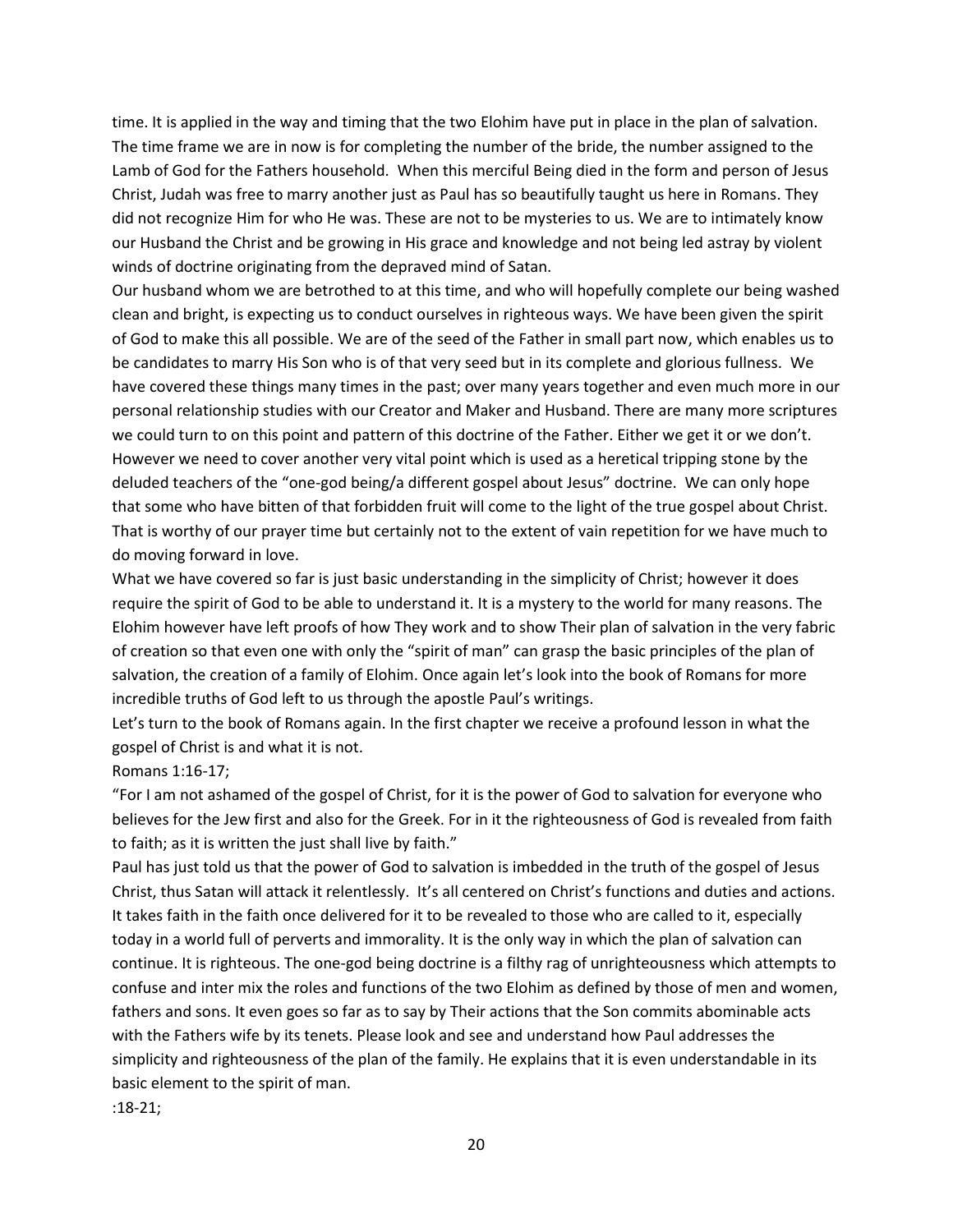time. It is applied in the way and timing that the two Elohim have put in place in the plan of salvation. The time frame we are in now is for completing the number of the bride, the number assigned to the Lamb of God for the Fathers household. When this merciful Being died in the form and person of Jesus Christ, Judah was free to marry another just as Paul has so beautifully taught us here in Romans. They did not recognize Him for who He was. These are not to be mysteries to us. We are to intimately know our Husband the Christ and be growing in His grace and knowledge and not being led astray by violent winds of doctrine originating from the depraved mind of Satan.

Our husband whom we are betrothed to at this time, and who will hopefully complete our being washed clean and bright, is expecting us to conduct ourselves in righteous ways. We have been given the spirit of God to make this all possible. We are of the seed of the Father in small part now, which enables us to be candidates to marry His Son who is of that very seed but in its complete and glorious fullness. We have covered these things many times in the past; over many years together and even much more in our personal relationship studies with our Creator and Maker and Husband. There are many more scriptures we could turn to on this point and pattern of this doctrine of the Father. Either we get it or we don't. However we need to cover another very vital point which is used as a heretical tripping stone by the deluded teachers of the "one-god being/a different gospel about Jesus" doctrine. We can only hope that some who have bitten of that forbidden fruit will come to the light of the true gospel about Christ. That is worthy of our prayer time but certainly not to the extent of vain repetition for we have much to do moving forward in love.

What we have covered so far is just basic understanding in the simplicity of Christ; however it does require the spirit of God to be able to understand it. It is a mystery to the world for many reasons. The Elohim however have left proofs of how They work and to show Their plan of salvation in the very fabric of creation so that even one with only the "spirit of man" can grasp the basic principles of the plan of salvation, the creation of a family of Elohim. Once again let's look into the book of Romans for more incredible truths of God left to us through the apostle Paul's writings.

Let's turn to the book of Romans again. In the first chapter we receive a profound lesson in what the gospel of Christ is and what it is not.

#### Romans 1:16-17;

"For I am not ashamed of the gospel of Christ, for it is the power of God to salvation for everyone who believes for the Jew first and also for the Greek. For in it the righteousness of God is revealed from faith to faith; as it is written the just shall live by faith."

Paul has just told us that the power of God to salvation is imbedded in the truth of the gospel of Jesus Christ, thus Satan will attack it relentlessly. It's all centered on Christ's functions and duties and actions. It takes faith in the faith once delivered for it to be revealed to those who are called to it, especially today in a world full of perverts and immorality. It is the only way in which the plan of salvation can continue. It is righteous. The one-god being doctrine is a filthy rag of unrighteousness which attempts to confuse and inter mix the roles and functions of the two Elohim as defined by those of men and women, fathers and sons. It even goes so far as to say by Their actions that the Son commits abominable acts with the Fathers wife by its tenets. Please look and see and understand how Paul addresses the simplicity and righteousness of the plan of the family. He explains that it is even understandable in its basic element to the spirit of man.

:18-21;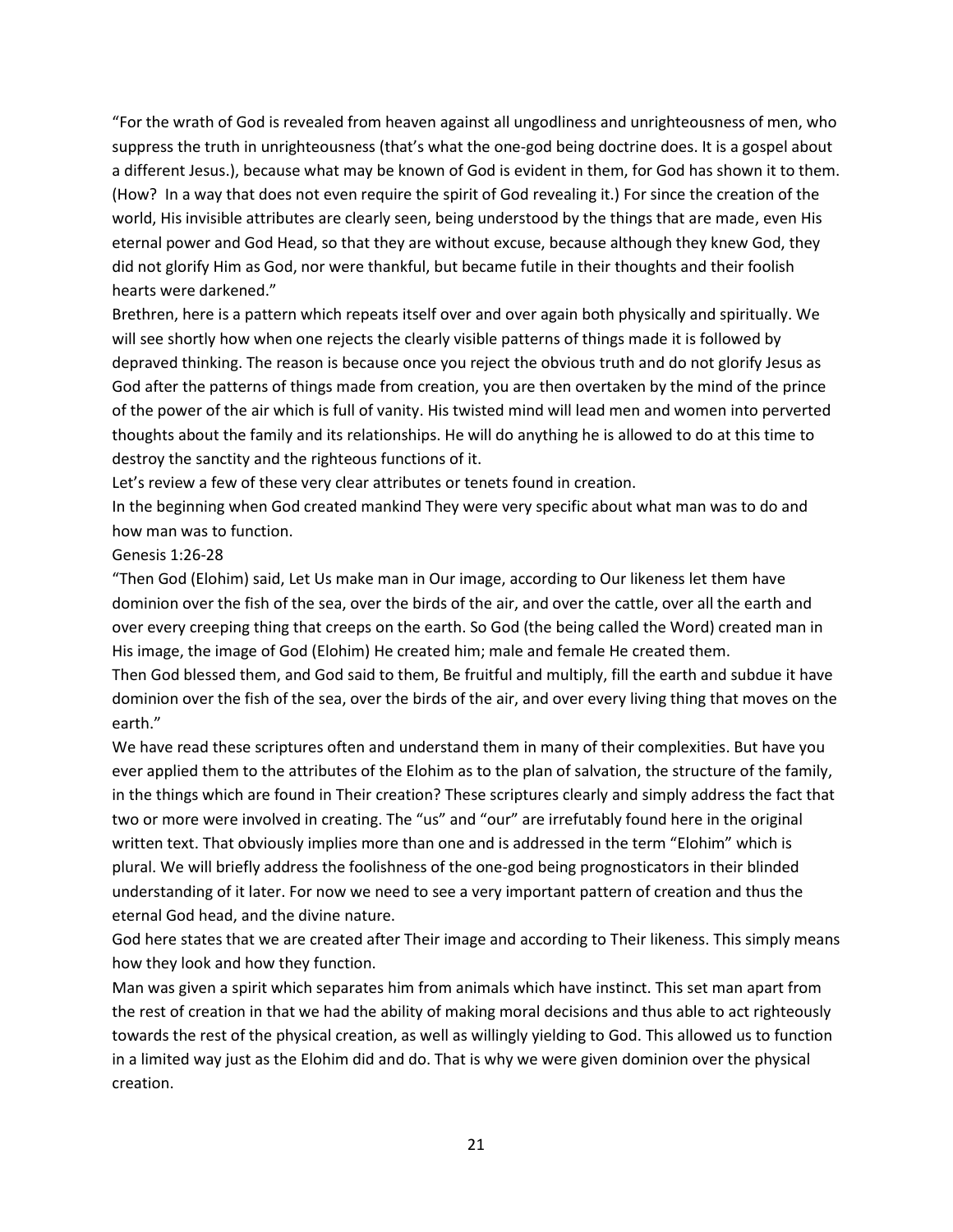"For the wrath of God is revealed from heaven against all ungodliness and unrighteousness of men, who suppress the truth in unrighteousness (that's what the one-god being doctrine does. It is a gospel about a different Jesus.), because what may be known of God is evident in them, for God has shown it to them. (How? In a way that does not even require the spirit of God revealing it.) For since the creation of the world, His invisible attributes are clearly seen, being understood by the things that are made, even His eternal power and God Head, so that they are without excuse, because although they knew God, they did not glorify Him as God, nor were thankful, but became futile in their thoughts and their foolish hearts were darkened."

Brethren, here is a pattern which repeats itself over and over again both physically and spiritually. We will see shortly how when one rejects the clearly visible patterns of things made it is followed by depraved thinking. The reason is because once you reject the obvious truth and do not glorify Jesus as God after the patterns of things made from creation, you are then overtaken by the mind of the prince of the power of the air which is full of vanity. His twisted mind will lead men and women into perverted thoughts about the family and its relationships. He will do anything he is allowed to do at this time to destroy the sanctity and the righteous functions of it.

Let's review a few of these very clear attributes or tenets found in creation.

In the beginning when God created mankind They were very specific about what man was to do and how man was to function.

### Genesis 1:26-28

"Then God (Elohim) said, Let Us make man in Our image, according to Our likeness let them have dominion over the fish of the sea, over the birds of the air, and over the cattle, over all the earth and over every creeping thing that creeps on the earth. So God (the being called the Word) created man in His image, the image of God (Elohim) He created him; male and female He created them.

Then God blessed them, and God said to them, Be fruitful and multiply, fill the earth and subdue it have dominion over the fish of the sea, over the birds of the air, and over every living thing that moves on the earth."

We have read these scriptures often and understand them in many of their complexities. But have you ever applied them to the attributes of the Elohim as to the plan of salvation, the structure of the family, in the things which are found in Their creation? These scriptures clearly and simply address the fact that two or more were involved in creating. The "us" and "our" are irrefutably found here in the original written text. That obviously implies more than one and is addressed in the term "Elohim" which is plural. We will briefly address the foolishness of the one-god being prognosticators in their blinded understanding of it later. For now we need to see a very important pattern of creation and thus the eternal God head, and the divine nature.

God here states that we are created after Their image and according to Their likeness. This simply means how they look and how they function.

Man was given a spirit which separates him from animals which have instinct. This set man apart from the rest of creation in that we had the ability of making moral decisions and thus able to act righteously towards the rest of the physical creation, as well as willingly yielding to God. This allowed us to function in a limited way just as the Elohim did and do. That is why we were given dominion over the physical creation.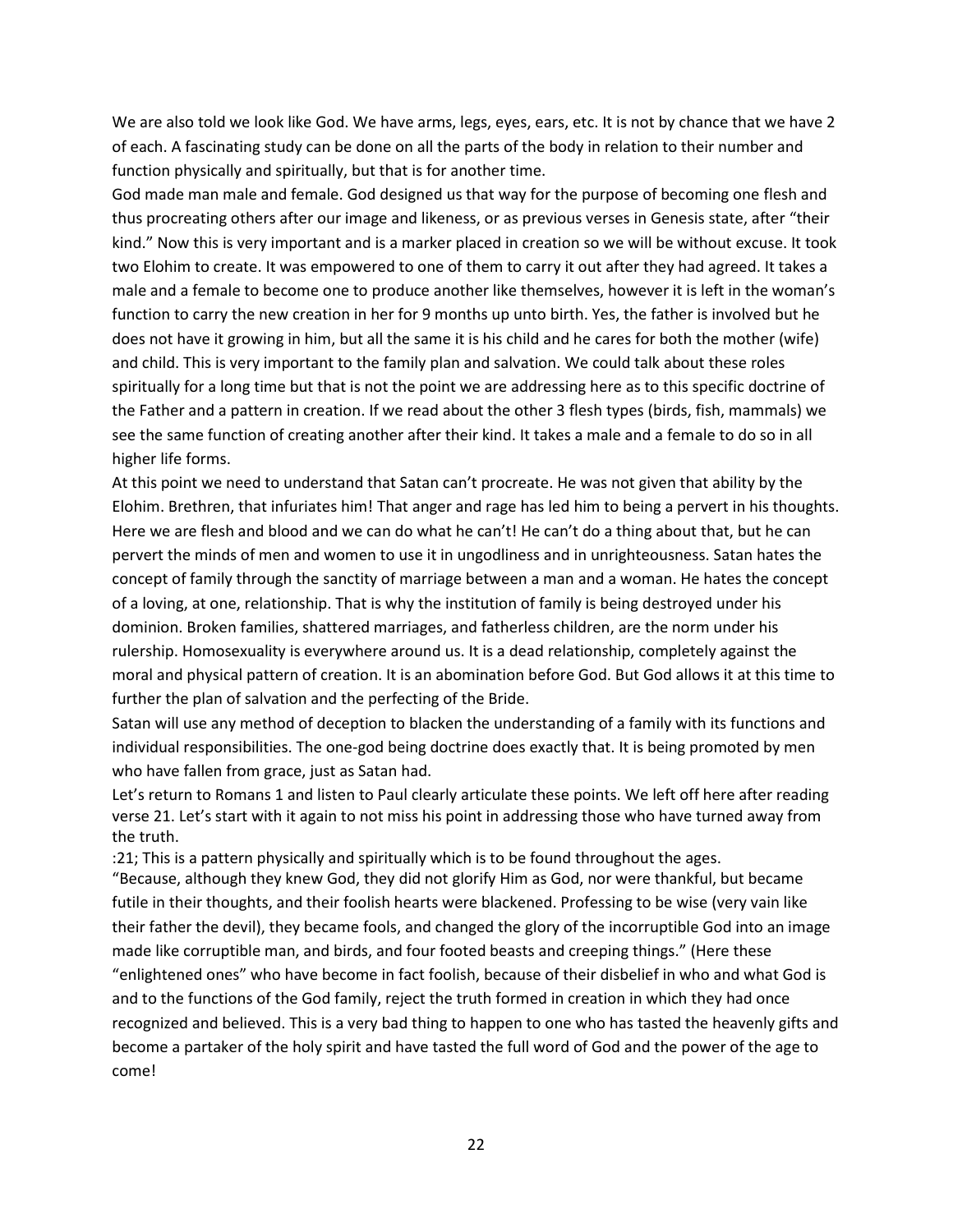We are also told we look like God. We have arms, legs, eyes, ears, etc. It is not by chance that we have 2 of each. A fascinating study can be done on all the parts of the body in relation to their number and function physically and spiritually, but that is for another time.

God made man male and female. God designed us that way for the purpose of becoming one flesh and thus procreating others after our image and likeness, or as previous verses in Genesis state, after "their kind." Now this is very important and is a marker placed in creation so we will be without excuse. It took two Elohim to create. It was empowered to one of them to carry it out after they had agreed. It takes a male and a female to become one to produce another like themselves, however it is left in the woman's function to carry the new creation in her for 9 months up unto birth. Yes, the father is involved but he does not have it growing in him, but all the same it is his child and he cares for both the mother (wife) and child. This is very important to the family plan and salvation. We could talk about these roles spiritually for a long time but that is not the point we are addressing here as to this specific doctrine of the Father and a pattern in creation. If we read about the other 3 flesh types (birds, fish, mammals) we see the same function of creating another after their kind. It takes a male and a female to do so in all higher life forms.

At this point we need to understand that Satan can't procreate. He was not given that ability by the Elohim. Brethren, that infuriates him! That anger and rage has led him to being a pervert in his thoughts. Here we are flesh and blood and we can do what he can't! He can't do a thing about that, but he can pervert the minds of men and women to use it in ungodliness and in unrighteousness. Satan hates the concept of family through the sanctity of marriage between a man and a woman. He hates the concept of a loving, at one, relationship. That is why the institution of family is being destroyed under his dominion. Broken families, shattered marriages, and fatherless children, are the norm under his rulership. Homosexuality is everywhere around us. It is a dead relationship, completely against the moral and physical pattern of creation. It is an abomination before God. But God allows it at this time to further the plan of salvation and the perfecting of the Bride.

Satan will use any method of deception to blacken the understanding of a family with its functions and individual responsibilities. The one-god being doctrine does exactly that. It is being promoted by men who have fallen from grace, just as Satan had.

Let's return to Romans 1 and listen to Paul clearly articulate these points. We left off here after reading verse 21. Let's start with it again to not miss his point in addressing those who have turned away from the truth.

:21; This is a pattern physically and spiritually which is to be found throughout the ages. "Because, although they knew God, they did not glorify Him as God, nor were thankful, but became futile in their thoughts, and their foolish hearts were blackened. Professing to be wise (very vain like their father the devil), they became fools, and changed the glory of the incorruptible God into an image made like corruptible man, and birds, and four footed beasts and creeping things." (Here these "enlightened ones" who have become in fact foolish, because of their disbelief in who and what God is and to the functions of the God family, reject the truth formed in creation in which they had once recognized and believed. This is a very bad thing to happen to one who has tasted the heavenly gifts and become a partaker of the holy spirit and have tasted the full word of God and the power of the age to come!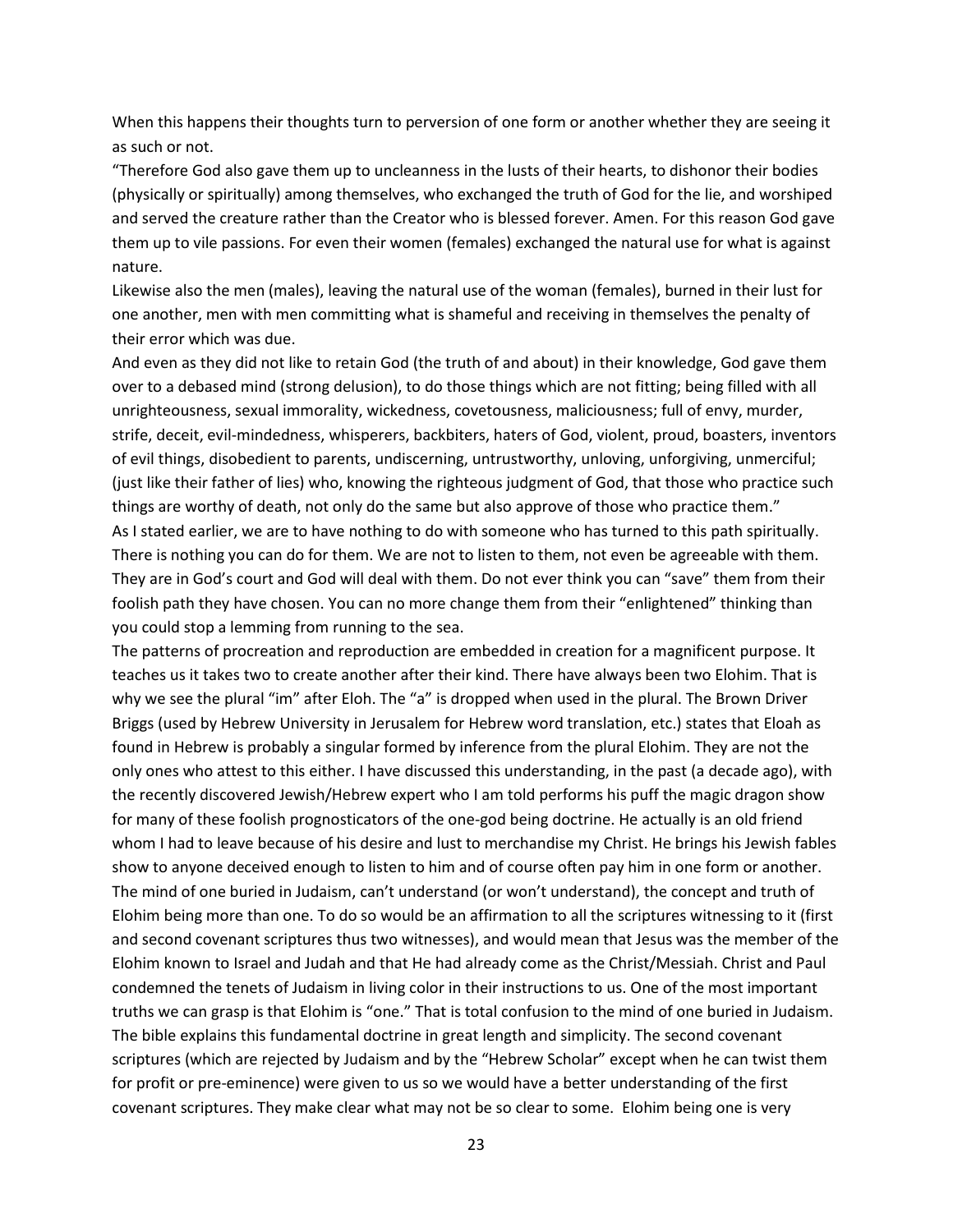When this happens their thoughts turn to perversion of one form or another whether they are seeing it as such or not.

"Therefore God also gave them up to uncleanness in the lusts of their hearts, to dishonor their bodies (physically or spiritually) among themselves, who exchanged the truth of God for the lie, and worshiped and served the creature rather than the Creator who is blessed forever. Amen. For this reason God gave them up to vile passions. For even their women (females) exchanged the natural use for what is against nature.

Likewise also the men (males), leaving the natural use of the woman (females), burned in their lust for one another, men with men committing what is shameful and receiving in themselves the penalty of their error which was due.

And even as they did not like to retain God (the truth of and about) in their knowledge, God gave them over to a debased mind (strong delusion), to do those things which are not fitting; being filled with all unrighteousness, sexual immorality, wickedness, covetousness, maliciousness; full of envy, murder, strife, deceit, evil-mindedness, whisperers, backbiters, haters of God, violent, proud, boasters, inventors of evil things, disobedient to parents, undiscerning, untrustworthy, unloving, unforgiving, unmerciful; (just like their father of lies) who, knowing the righteous judgment of God, that those who practice such things are worthy of death, not only do the same but also approve of those who practice them." As I stated earlier, we are to have nothing to do with someone who has turned to this path spiritually. There is nothing you can do for them. We are not to listen to them, not even be agreeable with them. They are in God's court and God will deal with them. Do not ever think you can "save" them from their foolish path they have chosen. You can no more change them from their "enlightened" thinking than

you could stop a lemming from running to the sea. The patterns of procreation and reproduction are embedded in creation for a magnificent purpose. It teaches us it takes two to create another after their kind. There have always been two Elohim. That is why we see the plural "im" after Eloh. The "a" is dropped when used in the plural. The Brown Driver Briggs (used by Hebrew University in Jerusalem for Hebrew word translation, etc.) states that Eloah as found in Hebrew is probably a singular formed by inference from the plural Elohim. They are not the only ones who attest to this either. I have discussed this understanding, in the past (a decade ago), with the recently discovered Jewish/Hebrew expert who I am told performs his puff the magic dragon show for many of these foolish prognosticators of the one-god being doctrine. He actually is an old friend whom I had to leave because of his desire and lust to merchandise my Christ. He brings his Jewish fables show to anyone deceived enough to listen to him and of course often pay him in one form or another. The mind of one buried in Judaism, can't understand (or won't understand), the concept and truth of Elohim being more than one. To do so would be an affirmation to all the scriptures witnessing to it (first and second covenant scriptures thus two witnesses), and would mean that Jesus was the member of the Elohim known to Israel and Judah and that He had already come as the Christ/Messiah. Christ and Paul condemned the tenets of Judaism in living color in their instructions to us. One of the most important truths we can grasp is that Elohim is "one." That is total confusion to the mind of one buried in Judaism. The bible explains this fundamental doctrine in great length and simplicity. The second covenant scriptures (which are rejected by Judaism and by the "Hebrew Scholar" except when he can twist them for profit or pre-eminence) were given to us so we would have a better understanding of the first covenant scriptures. They make clear what may not be so clear to some. Elohim being one is very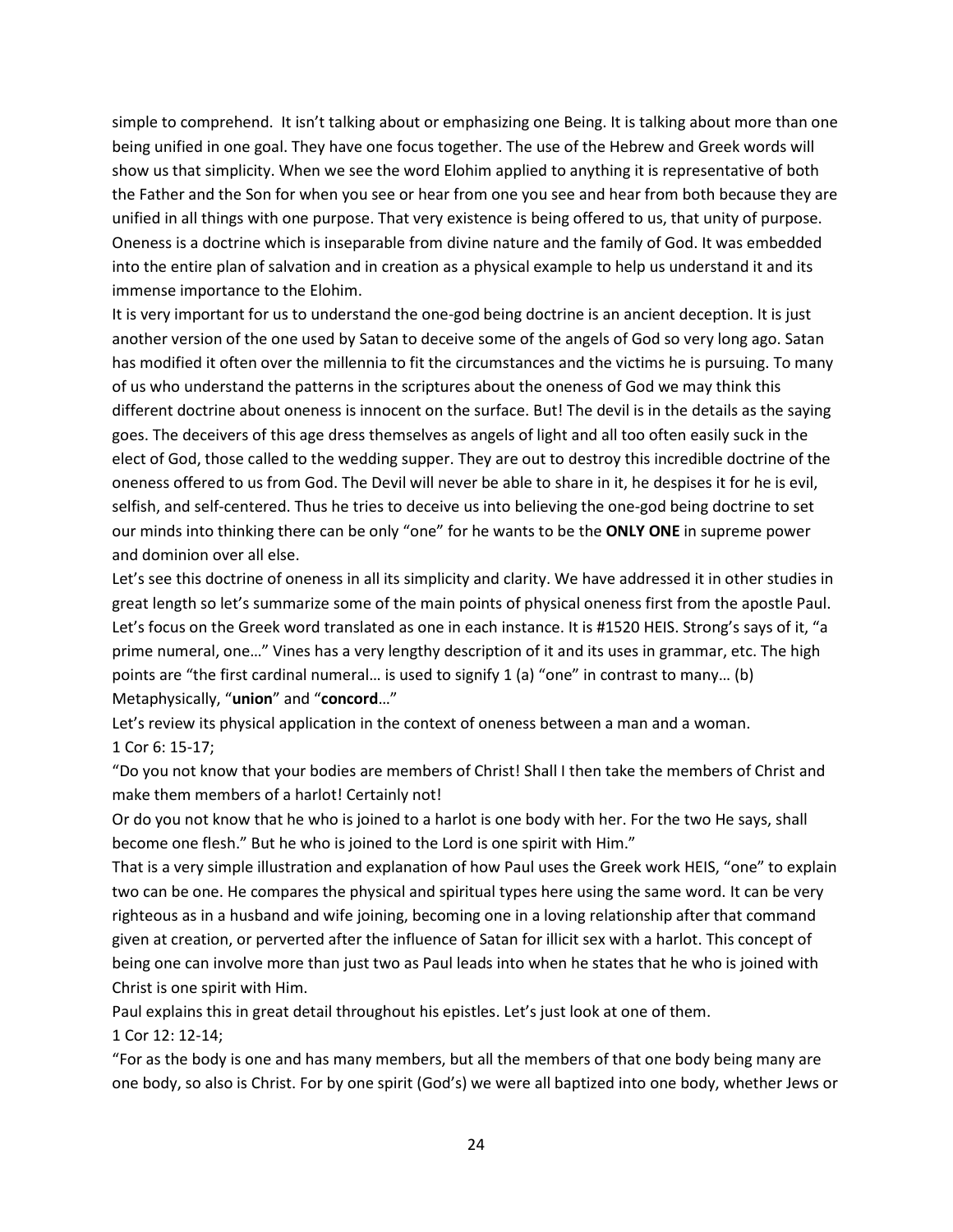simple to comprehend. It isn't talking about or emphasizing one Being. It is talking about more than one being unified in one goal. They have one focus together. The use of the Hebrew and Greek words will show us that simplicity. When we see the word Elohim applied to anything it is representative of both the Father and the Son for when you see or hear from one you see and hear from both because they are unified in all things with one purpose. That very existence is being offered to us, that unity of purpose. Oneness is a doctrine which is inseparable from divine nature and the family of God. It was embedded into the entire plan of salvation and in creation as a physical example to help us understand it and its immense importance to the Elohim.

It is very important for us to understand the one-god being doctrine is an ancient deception. It is just another version of the one used by Satan to deceive some of the angels of God so very long ago. Satan has modified it often over the millennia to fit the circumstances and the victims he is pursuing. To many of us who understand the patterns in the scriptures about the oneness of God we may think this different doctrine about oneness is innocent on the surface. But! The devil is in the details as the saying goes. The deceivers of this age dress themselves as angels of light and all too often easily suck in the elect of God, those called to the wedding supper. They are out to destroy this incredible doctrine of the oneness offered to us from God. The Devil will never be able to share in it, he despises it for he is evil, selfish, and self-centered. Thus he tries to deceive us into believing the one-god being doctrine to set our minds into thinking there can be only "one" for he wants to be the **ONLY ONE** in supreme power and dominion over all else.

Let's see this doctrine of oneness in all its simplicity and clarity. We have addressed it in other studies in great length so let's summarize some of the main points of physical oneness first from the apostle Paul. Let's focus on the Greek word translated as one in each instance. It is #1520 HEIS. Strong's says of it, "a prime numeral, one…" Vines has a very lengthy description of it and its uses in grammar, etc. The high points are "the first cardinal numeral… is used to signify 1 (a) "one" in contrast to many… (b) Metaphysically, "**union**" and "**concord**…"

Let's review its physical application in the context of oneness between a man and a woman. 1 Cor 6: 15-17;

"Do you not know that your bodies are members of Christ! Shall I then take the members of Christ and make them members of a harlot! Certainly not!

Or do you not know that he who is joined to a harlot is one body with her. For the two He says, shall become one flesh." But he who is joined to the Lord is one spirit with Him."

That is a very simple illustration and explanation of how Paul uses the Greek work HEIS, "one" to explain two can be one. He compares the physical and spiritual types here using the same word. It can be very righteous as in a husband and wife joining, becoming one in a loving relationship after that command given at creation, or perverted after the influence of Satan for illicit sex with a harlot. This concept of being one can involve more than just two as Paul leads into when he states that he who is joined with Christ is one spirit with Him.

Paul explains this in great detail throughout his epistles. Let's just look at one of them.

1 Cor 12: 12-14;

"For as the body is one and has many members, but all the members of that one body being many are one body, so also is Christ. For by one spirit (God's) we were all baptized into one body, whether Jews or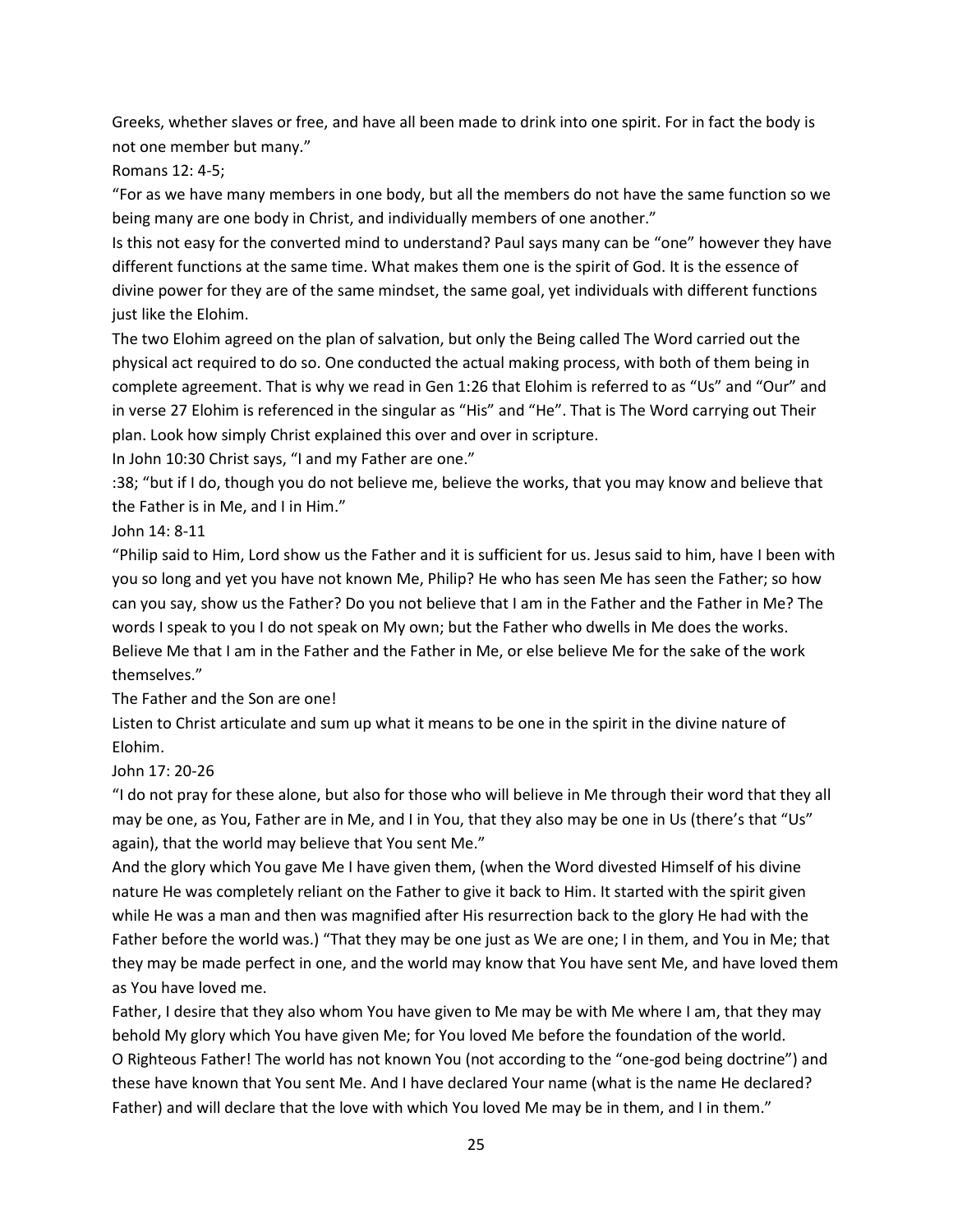Greeks, whether slaves or free, and have all been made to drink into one spirit. For in fact the body is not one member but many."

Romans 12: 4-5;

"For as we have many members in one body, but all the members do not have the same function so we being many are one body in Christ, and individually members of one another."

Is this not easy for the converted mind to understand? Paul says many can be "one" however they have different functions at the same time. What makes them one is the spirit of God. It is the essence of divine power for they are of the same mindset, the same goal, yet individuals with different functions just like the Elohim.

The two Elohim agreed on the plan of salvation, but only the Being called The Word carried out the physical act required to do so. One conducted the actual making process, with both of them being in complete agreement. That is why we read in Gen 1:26 that Elohim is referred to as "Us" and "Our" and in verse 27 Elohim is referenced in the singular as "His" and "He". That is The Word carrying out Their plan. Look how simply Christ explained this over and over in scripture.

In John 10:30 Christ says, "I and my Father are one."

:38; "but if I do, though you do not believe me, believe the works, that you may know and believe that the Father is in Me, and I in Him."

John 14: 8-11

"Philip said to Him, Lord show us the Father and it is sufficient for us. Jesus said to him, have I been with you so long and yet you have not known Me, Philip? He who has seen Me has seen the Father; so how can you say, show us the Father? Do you not believe that I am in the Father and the Father in Me? The words I speak to you I do not speak on My own; but the Father who dwells in Me does the works. Believe Me that I am in the Father and the Father in Me, or else believe Me for the sake of the work themselves."

The Father and the Son are one!

Listen to Christ articulate and sum up what it means to be one in the spirit in the divine nature of Elohim.

# John 17: 20-26

"I do not pray for these alone, but also for those who will believe in Me through their word that they all may be one, as You, Father are in Me, and I in You, that they also may be one in Us (there's that "Us" again), that the world may believe that You sent Me."

And the glory which You gave Me I have given them, (when the Word divested Himself of his divine nature He was completely reliant on the Father to give it back to Him. It started with the spirit given while He was a man and then was magnified after His resurrection back to the glory He had with the Father before the world was.) "That they may be one just as We are one; I in them, and You in Me; that they may be made perfect in one, and the world may know that You have sent Me, and have loved them as You have loved me.

Father, I desire that they also whom You have given to Me may be with Me where I am, that they may behold My glory which You have given Me; for You loved Me before the foundation of the world. O Righteous Father! The world has not known You (not according to the "one-god being doctrine") and these have known that You sent Me. And I have declared Your name (what is the name He declared? Father) and will declare that the love with which You loved Me may be in them, and I in them."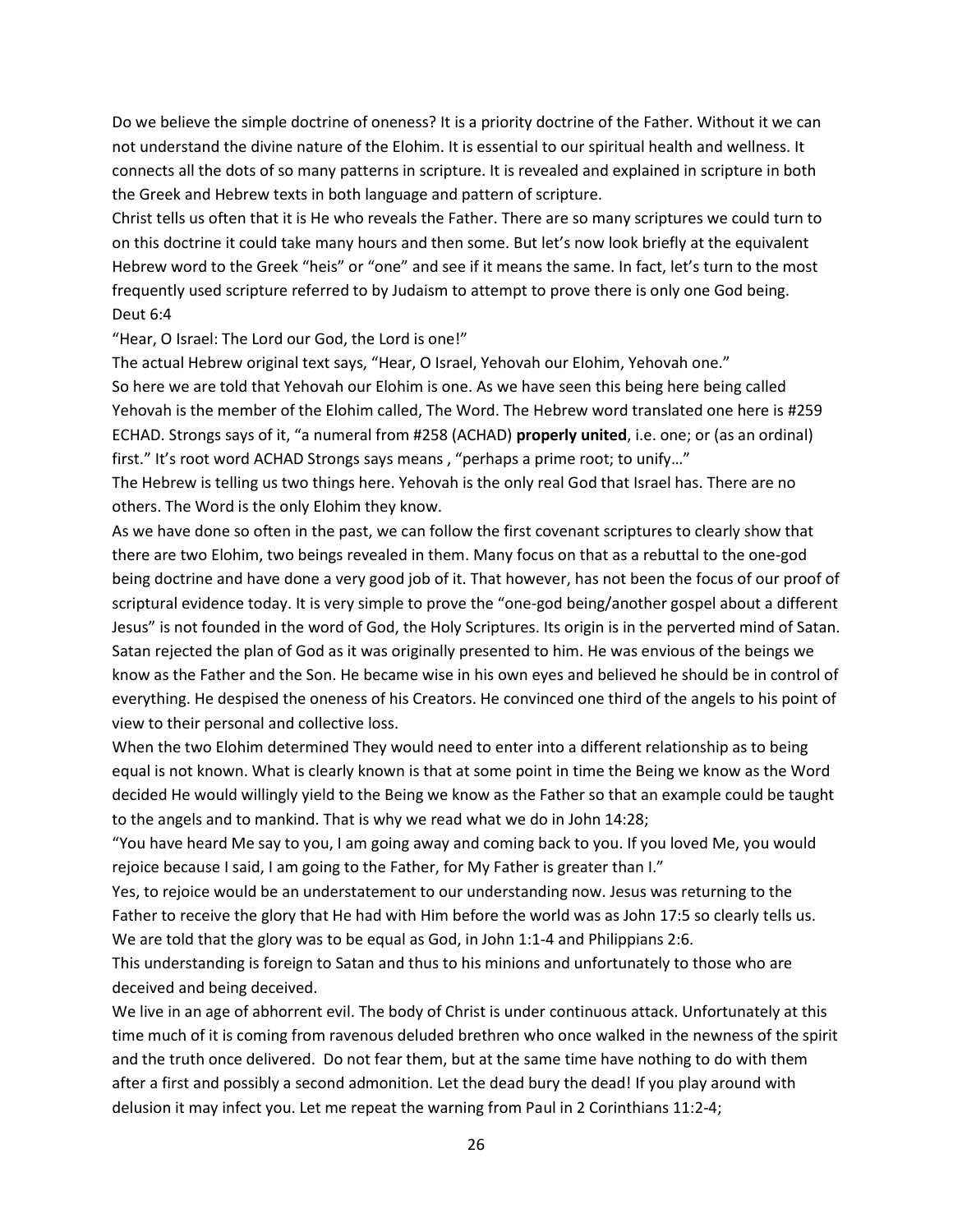Do we believe the simple doctrine of oneness? It is a priority doctrine of the Father. Without it we can not understand the divine nature of the Elohim. It is essential to our spiritual health and wellness. It connects all the dots of so many patterns in scripture. It is revealed and explained in scripture in both the Greek and Hebrew texts in both language and pattern of scripture.

Christ tells us often that it is He who reveals the Father. There are so many scriptures we could turn to on this doctrine it could take many hours and then some. But let's now look briefly at the equivalent Hebrew word to the Greek "heis" or "one" and see if it means the same. In fact, let's turn to the most frequently used scripture referred to by Judaism to attempt to prove there is only one God being. Deut 6:4

"Hear, O Israel: The Lord our God, the Lord is one!"

The actual Hebrew original text says, "Hear, O Israel, Yehovah our Elohim, Yehovah one." So here we are told that Yehovah our Elohim is one. As we have seen this being here being called Yehovah is the member of the Elohim called, The Word. The Hebrew word translated one here is #259 ECHAD. Strongs says of it, "a numeral from #258 (ACHAD) **properly united**, i.e. one; or (as an ordinal) first." It's root word ACHAD Strongs says means , "perhaps a prime root; to unify…"

The Hebrew is telling us two things here. Yehovah is the only real God that Israel has. There are no others. The Word is the only Elohim they know.

As we have done so often in the past, we can follow the first covenant scriptures to clearly show that there are two Elohim, two beings revealed in them. Many focus on that as a rebuttal to the one-god being doctrine and have done a very good job of it. That however, has not been the focus of our proof of scriptural evidence today. It is very simple to prove the "one-god being/another gospel about a different Jesus" is not founded in the word of God, the Holy Scriptures. Its origin is in the perverted mind of Satan. Satan rejected the plan of God as it was originally presented to him. He was envious of the beings we know as the Father and the Son. He became wise in his own eyes and believed he should be in control of everything. He despised the oneness of his Creators. He convinced one third of the angels to his point of view to their personal and collective loss.

When the two Elohim determined They would need to enter into a different relationship as to being equal is not known. What is clearly known is that at some point in time the Being we know as the Word decided He would willingly yield to the Being we know as the Father so that an example could be taught to the angels and to mankind. That is why we read what we do in John 14:28;

"You have heard Me say to you, I am going away and coming back to you. If you loved Me, you would rejoice because I said, I am going to the Father, for My Father is greater than I."

Yes, to rejoice would be an understatement to our understanding now. Jesus was returning to the Father to receive the glory that He had with Him before the world was as John 17:5 so clearly tells us. We are told that the glory was to be equal as God, in John 1:1-4 and Philippians 2:6.

This understanding is foreign to Satan and thus to his minions and unfortunately to those who are deceived and being deceived.

We live in an age of abhorrent evil. The body of Christ is under continuous attack. Unfortunately at this time much of it is coming from ravenous deluded brethren who once walked in the newness of the spirit and the truth once delivered. Do not fear them, but at the same time have nothing to do with them after a first and possibly a second admonition. Let the dead bury the dead! If you play around with delusion it may infect you. Let me repeat the warning from Paul in 2 Corinthians 11:2-4;